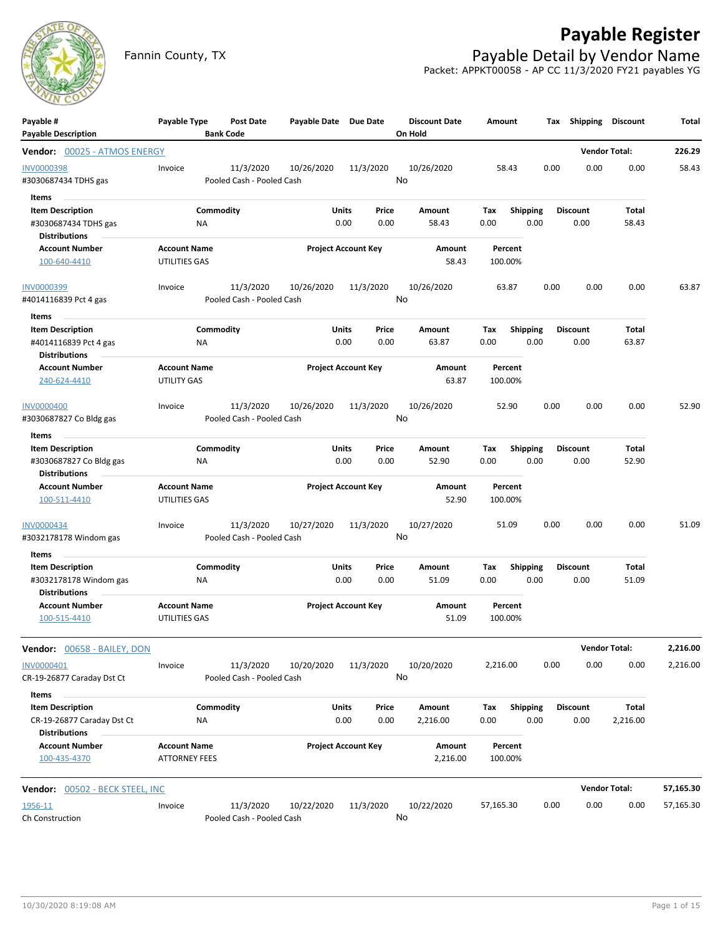

# **Payable Register**

Fannin County, TX **Payable Detail by Vendor Name** Packet: APPKT00058 - AP CC 11/3/2020 FY21 payables YG

| Payable #<br><b>Payable Description</b>                                                | Payable Type                                | Post Date<br><b>Bank Code</b>          | Payable Date Due Date |                            | <b>Discount Date</b><br>On Hold | Amount             | Тах                     | Shipping                | <b>Discount</b>       | Total     |
|----------------------------------------------------------------------------------------|---------------------------------------------|----------------------------------------|-----------------------|----------------------------|---------------------------------|--------------------|-------------------------|-------------------------|-----------------------|-----------|
| Vendor: 00025 - ATMOS ENERGY                                                           |                                             |                                        |                       |                            |                                 |                    |                         |                         | <b>Vendor Total:</b>  | 226.29    |
| <b>INV0000398</b><br>#3030687434 TDHS gas                                              | Invoice                                     | 11/3/2020<br>Pooled Cash - Pooled Cash | 10/26/2020            | 11/3/2020                  | 10/26/2020<br>No                | 58.43              | 0.00                    | 0.00                    | 0.00                  | 58.43     |
| Items<br><b>Item Description</b><br>#3030687434 TDHS gas<br><b>Distributions</b>       | ΝA                                          | Commodity                              | Units                 | Price<br>0.00<br>0.00      | Amount<br>58.43                 | Tax<br>0.00        | <b>Shipping</b><br>0.00 | <b>Discount</b><br>0.00 | <b>Total</b><br>58.43 |           |
| <b>Account Number</b><br>100-640-4410                                                  | <b>Account Name</b><br>UTILITIES GAS        |                                        |                       | <b>Project Account Key</b> | Amount<br>58.43                 | Percent<br>100.00% |                         |                         |                       |           |
| INV0000399<br>#4014116839 Pct 4 gas                                                    | Invoice                                     | 11/3/2020<br>Pooled Cash - Pooled Cash | 10/26/2020            | 11/3/2020                  | 10/26/2020<br>No                | 63.87              | 0.00                    | 0.00                    | 0.00                  | 63.87     |
| Items<br><b>Item Description</b><br>#4014116839 Pct 4 gas<br><b>Distributions</b>      | ΝA                                          | Commodity                              | Units                 | Price<br>0.00<br>0.00      | Amount<br>63.87                 | Tax<br>0.00        | <b>Shipping</b><br>0.00 | <b>Discount</b><br>0.00 | Total<br>63.87        |           |
| <b>Account Number</b><br>240-624-4410                                                  | <b>Account Name</b><br><b>UTILITY GAS</b>   |                                        |                       | <b>Project Account Key</b> | Amount<br>63.87                 | Percent<br>100.00% |                         |                         |                       |           |
| <b>INV0000400</b><br>#3030687827 Co Bldg gas                                           | Invoice                                     | 11/3/2020<br>Pooled Cash - Pooled Cash | 10/26/2020            | 11/3/2020                  | 10/26/2020<br>No                | 52.90              | 0.00                    | 0.00                    | 0.00                  | 52.90     |
| Items                                                                                  |                                             |                                        |                       |                            |                                 |                    |                         |                         |                       |           |
| <b>Item Description</b><br>#3030687827 Co Bldg gas<br><b>Distributions</b>             | NA                                          | Commodity                              | <b>Units</b>          | Price<br>0.00<br>0.00      | Amount<br>52.90                 | Tax<br>0.00        | <b>Shipping</b><br>0.00 | <b>Discount</b><br>0.00 | Total<br>52.90        |           |
| <b>Account Number</b><br>100-511-4410                                                  | <b>Account Name</b><br>UTILITIES GAS        |                                        |                       | <b>Project Account Key</b> | Amount<br>52.90                 | Percent<br>100.00% |                         |                         |                       |           |
| INV0000434<br>#3032178178 Windom gas                                                   | Invoice                                     | 11/3/2020<br>Pooled Cash - Pooled Cash | 10/27/2020            | 11/3/2020                  | 10/27/2020<br>No                | 51.09              | 0.00                    | 0.00                    | 0.00                  | 51.09     |
| Items<br><b>Item Description</b><br>#3032178178 Windom gas                             | ΝA                                          | Commodity                              | Units                 | Price<br>0.00<br>0.00      | Amount<br>51.09                 | Tax<br>0.00        | <b>Shipping</b><br>0.00 | <b>Discount</b><br>0.00 | Total<br>51.09        |           |
| <b>Distributions</b><br><b>Account Number</b><br>100-515-4410                          | <b>Account Name</b><br>UTILITIES GAS        |                                        |                       | <b>Project Account Key</b> | Amount<br>51.09                 | Percent<br>100.00% |                         |                         |                       |           |
| Vendor: 00658 - BAILEY, DON                                                            |                                             |                                        |                       |                            |                                 |                    |                         |                         | <b>Vendor Total:</b>  | 2,216.00  |
| INV0000401<br>CR-19-26877 Caraday Dst Ct                                               | Invoice                                     | 11/3/2020<br>Pooled Cash - Pooled Cash | 10/20/2020            | 11/3/2020                  | 10/20/2020<br>No                | 2,216.00           | 0.00                    | 0.00                    | 0.00                  | 2,216.00  |
| Items<br><b>Item Description</b><br>CR-19-26877 Caraday Dst Ct<br><b>Distributions</b> | <b>NA</b>                                   | Commodity                              | Units                 | Price<br>0.00<br>0.00      | Amount<br>2,216.00              | Tax<br>0.00        | <b>Shipping</b><br>0.00 | <b>Discount</b><br>0.00 | Total<br>2,216.00     |           |
| <b>Account Number</b><br>100-435-4370                                                  | <b>Account Name</b><br><b>ATTORNEY FEES</b> |                                        |                       | <b>Project Account Key</b> | Amount<br>2,216.00              | Percent<br>100.00% |                         |                         |                       |           |
| Vendor: 00502 - BECK STEEL, INC                                                        |                                             |                                        |                       |                            |                                 |                    |                         |                         | <b>Vendor Total:</b>  | 57,165.30 |
| 1956-11<br>Ch Construction                                                             | Invoice                                     | 11/3/2020<br>Pooled Cash - Pooled Cash | 10/22/2020            | 11/3/2020                  | 10/22/2020<br>No                | 57,165.30          | 0.00                    | 0.00                    | 0.00                  | 57,165.30 |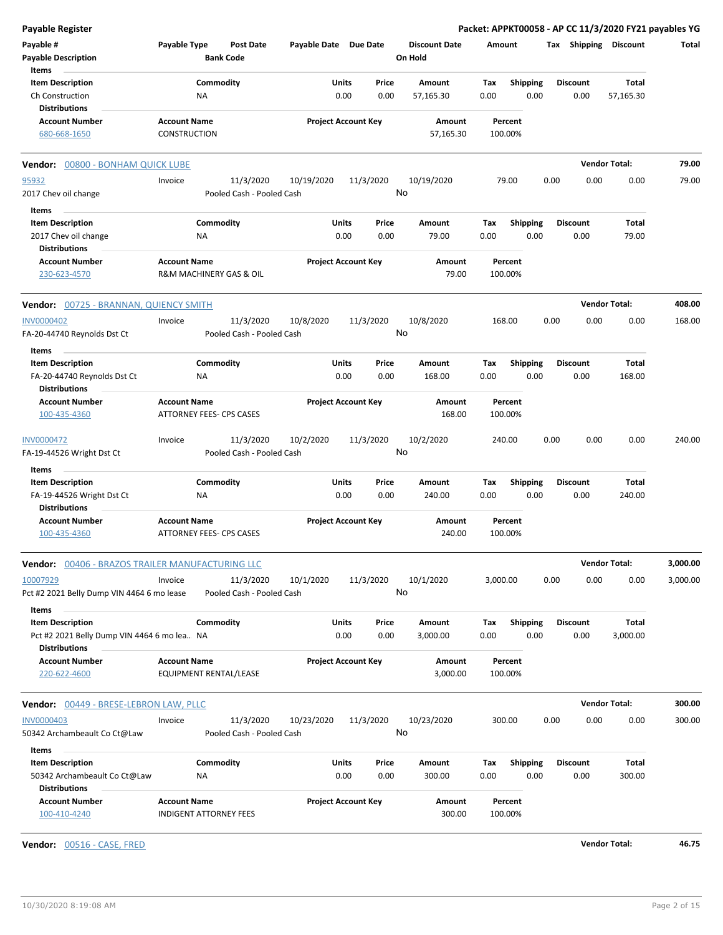| <b>Payable Register</b>                              |                                                      |                            |                                          | Packet: APPKT00058 - AP CC 11/3/2020 FY21 payables YG |                         |                      |          |
|------------------------------------------------------|------------------------------------------------------|----------------------------|------------------------------------------|-------------------------------------------------------|-------------------------|----------------------|----------|
| Payable #<br><b>Payable Description</b>              | Payable Type<br>Post Date<br><b>Bank Code</b>        | Payable Date Due Date      | <b>Discount Date</b><br>On Hold          | Amount                                                | Tax Shipping Discount   |                      | Total    |
| Items                                                |                                                      |                            |                                          |                                                       |                         |                      |          |
| <b>Item Description</b>                              | Commodity                                            | <b>Units</b>               | Price<br>Amount                          | Tax<br><b>Shipping</b>                                | <b>Discount</b>         | <b>Total</b>         |          |
| Ch Construction                                      | <b>NA</b>                                            | 0.00                       | 0.00<br>57,165.30                        | 0.00<br>0.00                                          | 0.00                    | 57,165.30            |          |
| <b>Distributions</b>                                 |                                                      |                            |                                          |                                                       |                         |                      |          |
| <b>Account Number</b><br>680-668-1650                | <b>Account Name</b><br><b>CONSTRUCTION</b>           | <b>Project Account Key</b> | Amount<br>57,165.30                      | Percent<br>100.00%                                    |                         |                      |          |
| Vendor: 00800 - BONHAM QUICK LUBE                    |                                                      |                            |                                          |                                                       |                         | <b>Vendor Total:</b> | 79.00    |
| 95932                                                | 11/3/2020<br>Invoice                                 | 10/19/2020<br>11/3/2020    | 10/19/2020                               | 79.00                                                 | 0.00<br>0.00            | 0.00                 | 79.00    |
| 2017 Chev oil change                                 | Pooled Cash - Pooled Cash                            |                            | No                                       |                                                       |                         |                      |          |
| Items                                                |                                                      |                            |                                          |                                                       |                         |                      |          |
| <b>Item Description</b>                              | Commodity                                            | Units                      | Price<br>Amount                          | Tax<br><b>Shipping</b>                                | <b>Discount</b>         | Total                |          |
| 2017 Chev oil change                                 | ΝA                                                   | 0.00                       | 0.00<br>79.00                            | 0.00<br>0.00                                          | 0.00                    | 79.00                |          |
| <b>Distributions</b>                                 |                                                      |                            |                                          |                                                       |                         |                      |          |
| <b>Account Number</b><br>230-623-4570                | <b>Account Name</b><br>R&M MACHINERY GAS & OIL       | <b>Project Account Key</b> | Amount<br>79.00                          | Percent<br>100.00%                                    |                         |                      |          |
|                                                      |                                                      |                            |                                          |                                                       |                         |                      |          |
| <b>Vendor: 00725 - BRANNAN, QUIENCY SMITH</b>        |                                                      |                            |                                          |                                                       |                         | <b>Vendor Total:</b> | 408.00   |
| <b>INV0000402</b>                                    | 11/3/2020<br>Invoice                                 | 10/8/2020<br>11/3/2020     | 10/8/2020                                | 168.00                                                | 0.00<br>0.00            | 0.00                 | 168.00   |
| FA-20-44740 Reynolds Dst Ct                          | Pooled Cash - Pooled Cash                            |                            | No                                       |                                                       |                         |                      |          |
| Items                                                |                                                      |                            |                                          |                                                       |                         |                      |          |
| <b>Item Description</b>                              | Commodity                                            | Units                      | Price<br>Amount                          | Tax<br><b>Shipping</b>                                | <b>Discount</b>         | Total                |          |
| FA-20-44740 Reynolds Dst Ct                          | <b>NA</b>                                            | 0.00                       | 0.00<br>168.00                           | 0.00<br>0.00                                          | 0.00                    | 168.00               |          |
| <b>Distributions</b>                                 |                                                      |                            |                                          |                                                       |                         |                      |          |
| <b>Account Number</b>                                | <b>Account Name</b>                                  | <b>Project Account Key</b> | Amount                                   | Percent                                               |                         |                      |          |
| 100-435-4360                                         | ATTORNEY FEES- CPS CASES                             |                            | 168.00                                   | 100.00%                                               |                         |                      |          |
| INV0000472<br>FA-19-44526 Wright Dst Ct              | 11/3/2020<br>Invoice<br>Pooled Cash - Pooled Cash    | 10/2/2020<br>11/3/2020     | 10/2/2020<br>No                          | 240.00                                                | 0.00<br>0.00            | 0.00                 | 240.00   |
| Items                                                |                                                      |                            |                                          |                                                       |                         |                      |          |
| <b>Item Description</b><br>FA-19-44526 Wright Dst Ct | Commodity<br><b>NA</b>                               | Units<br>0.00              | Price<br><b>Amount</b><br>0.00<br>240.00 | <b>Shipping</b><br>Tax<br>0.00<br>0.00                | <b>Discount</b><br>0.00 | Total<br>240.00      |          |
| <b>Distributions</b>                                 |                                                      |                            |                                          |                                                       |                         |                      |          |
| <b>Account Number</b><br>100-435-4360                | <b>Account Name</b><br>ATTORNEY FEES- CPS CASES      | <b>Project Account Key</b> | Amount<br>240.00                         | Percent<br>100.00%                                    |                         |                      |          |
| Vendor: 00406 - BRAZOS TRAILER MANUFACTURING LLC     |                                                      |                            |                                          |                                                       |                         | <b>Vendor Total:</b> | 3,000.00 |
| 10007929                                             | 11/3/2020<br>Invoice                                 | 11/3/2020<br>10/1/2020     | 10/1/2020                                | 3,000.00                                              | 0.00<br>0.00            | 0.00                 | 3,000.00 |
| Pct #2 2021 Belly Dump VIN 4464 6 mo lease           | Pooled Cash - Pooled Cash                            |                            | No                                       |                                                       |                         |                      |          |
| Items                                                |                                                      |                            |                                          |                                                       |                         |                      |          |
| <b>Item Description</b>                              | Commodity                                            | Units                      | Price<br>Amount                          | <b>Shipping</b><br>Tax                                | <b>Discount</b>         | <b>Total</b>         |          |
| Pct #2 2021 Belly Dump VIN 4464 6 mo lea NA          |                                                      | 0.00                       | 0.00<br>3,000.00                         | 0.00<br>0.00                                          | 0.00                    | 3,000.00             |          |
| <b>Distributions</b>                                 |                                                      |                            |                                          |                                                       |                         |                      |          |
| <b>Account Number</b>                                | <b>Account Name</b>                                  | <b>Project Account Key</b> | Amount                                   | Percent                                               |                         |                      |          |
| 220-622-4600                                         | EQUIPMENT RENTAL/LEASE                               |                            | 3,000.00                                 | 100.00%                                               |                         |                      |          |
| Vendor: 00449 - BRESE-LEBRON LAW, PLLC               |                                                      |                            |                                          |                                                       |                         | <b>Vendor Total:</b> | 300.00   |
| <b>INV0000403</b>                                    | 11/3/2020<br>Invoice                                 | 11/3/2020<br>10/23/2020    | 10/23/2020                               | 300.00                                                | 0.00<br>0.00            | 0.00                 | 300.00   |
| 50342 Archambeault Co Ct@Law                         | Pooled Cash - Pooled Cash                            |                            | No                                       |                                                       |                         |                      |          |
|                                                      |                                                      |                            |                                          |                                                       |                         |                      |          |
| Items                                                |                                                      |                            |                                          |                                                       |                         |                      |          |
| <b>Item Description</b>                              | Commodity                                            | Units                      | Price<br>Amount                          | <b>Shipping</b><br>Тах                                | <b>Discount</b>         | Total                |          |
| 50342 Archambeault Co Ct@Law<br><b>Distributions</b> | ΝA                                                   | 0.00                       | 0.00<br>300.00                           | 0.00<br>0.00                                          | 0.00                    | 300.00               |          |
| <b>Account Number</b><br>100-410-4240                | <b>Account Name</b><br><b>INDIGENT ATTORNEY FEES</b> | <b>Project Account Key</b> | Amount<br>300.00                         | Percent<br>100.00%                                    |                         |                      |          |

**Vendor:** 00516 - CASE, FRED **Vendor Total: 46.75**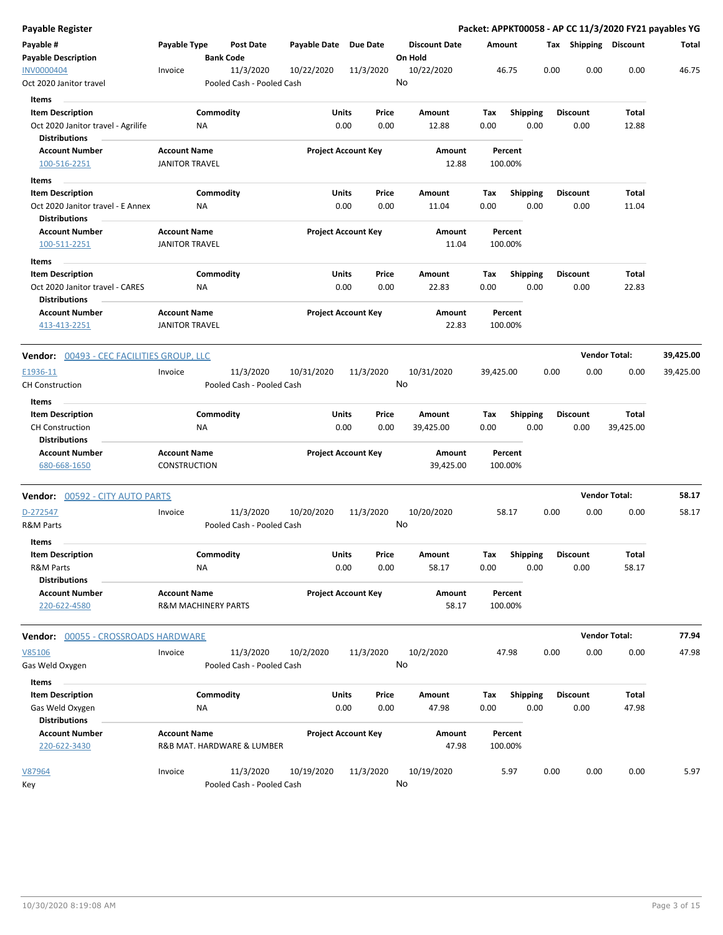| Payable Register                                           |                                                       |                                        |              |                                |                                 | Packet: APPKT00058 - AP CC 11/3/2020 FY21 payables YG |                         |      |                         |                      |           |
|------------------------------------------------------------|-------------------------------------------------------|----------------------------------------|--------------|--------------------------------|---------------------------------|-------------------------------------------------------|-------------------------|------|-------------------------|----------------------|-----------|
| Payable #<br><b>Payable Description</b>                    | Payable Type                                          | Post Date<br><b>Bank Code</b>          | Payable Date | <b>Due Date</b>                | <b>Discount Date</b><br>On Hold | Amount                                                |                         |      | Tax Shipping Discount   |                      | Total     |
| <b>INV0000404</b><br>Oct 2020 Janitor travel               | Invoice                                               | 11/3/2020<br>Pooled Cash - Pooled Cash | 10/22/2020   | 11/3/2020                      | 10/22/2020<br>No                | 46.75                                                 |                         | 0.00 | 0.00                    | 0.00                 | 46.75     |
| Items                                                      |                                                       |                                        |              |                                |                                 |                                                       |                         |      |                         |                      |           |
| <b>Item Description</b>                                    | Commodity                                             |                                        |              | Units<br>Price                 | Amount                          | Tax                                                   | <b>Shipping</b>         |      | <b>Discount</b>         | Total                |           |
| Oct 2020 Janitor travel - Agrilife<br><b>Distributions</b> | ΝA                                                    |                                        |              | 0.00<br>0.00                   | 12.88                           | 0.00                                                  | 0.00                    |      | 0.00                    | 12.88                |           |
| <b>Account Number</b><br>100-516-2251                      | <b>Account Name</b><br><b>JANITOR TRAVEL</b>          |                                        |              | <b>Project Account Key</b>     | Amount<br>12.88                 | Percent<br>100.00%                                    |                         |      |                         |                      |           |
| Items                                                      |                                                       |                                        |              |                                |                                 |                                                       |                         |      |                         |                      |           |
| <b>Item Description</b>                                    | Commodity                                             |                                        |              | Units<br>Price                 | Amount                          | Тах                                                   | <b>Shipping</b>         |      | <b>Discount</b>         | Total                |           |
| Oct 2020 Janitor travel - E Annex<br><b>Distributions</b>  | NA                                                    |                                        |              | 0.00<br>0.00                   | 11.04                           | 0.00                                                  | 0.00                    |      | 0.00                    | 11.04                |           |
| <b>Account Number</b><br>100-511-2251                      | <b>Account Name</b><br><b>JANITOR TRAVEL</b>          |                                        |              | <b>Project Account Key</b>     | Amount<br>11.04                 | Percent<br>100.00%                                    |                         |      |                         |                      |           |
|                                                            |                                                       |                                        |              |                                |                                 |                                                       |                         |      |                         |                      |           |
| Items<br><b>Item Description</b>                           | Commodity                                             |                                        |              | Units<br>Price                 | Amount                          | Tax                                                   | <b>Shipping</b>         |      | <b>Discount</b>         | Total                |           |
| Oct 2020 Janitor travel - CARES<br><b>Distributions</b>    | NA                                                    |                                        |              | 0.00<br>0.00                   | 22.83                           | 0.00                                                  | 0.00                    |      | 0.00                    | 22.83                |           |
| <b>Account Number</b><br>413-413-2251                      | <b>Account Name</b><br><b>JANITOR TRAVEL</b>          |                                        |              | <b>Project Account Key</b>     | Amount<br>22.83                 | Percent<br>100.00%                                    |                         |      |                         |                      |           |
| <b>Vendor:    0</b> 0493 - CEC FACILITIES GROUP, LLC       |                                                       |                                        |              |                                |                                 |                                                       |                         |      |                         | <b>Vendor Total:</b> | 39,425.00 |
| E1936-11<br>CH Construction                                | Invoice                                               | 11/3/2020<br>Pooled Cash - Pooled Cash | 10/31/2020   | 11/3/2020                      | 10/31/2020<br>No                | 39,425.00                                             |                         | 0.00 | 0.00                    | 0.00                 | 39,425.00 |
| Items                                                      |                                                       |                                        |              |                                |                                 |                                                       |                         |      |                         |                      |           |
| <b>Item Description</b>                                    | Commodity                                             |                                        |              | Units<br>Price                 | Amount                          | Tax                                                   | <b>Shipping</b>         |      | <b>Discount</b>         | <b>Total</b>         |           |
| <b>CH Construction</b><br><b>Distributions</b>             | NA                                                    |                                        |              | 0.00<br>0.00                   | 39,425.00                       | 0.00                                                  | 0.00                    |      | 0.00                    | 39,425.00            |           |
| <b>Account Number</b><br>680-668-1650                      | <b>Account Name</b><br><b>CONSTRUCTION</b>            |                                        |              | <b>Project Account Key</b>     | Amount<br>39,425.00             | Percent<br>100.00%                                    |                         |      |                         |                      |           |
| <b>Vendor: 00592 - CITY AUTO PARTS</b>                     |                                                       |                                        |              |                                |                                 |                                                       |                         |      |                         | <b>Vendor Total:</b> | 58.17     |
| D-272547                                                   | Invoice                                               | 11/3/2020                              | 10/20/2020   | 11/3/2020                      | 10/20/2020                      | 58.17                                                 |                         | 0.00 | 0.00                    | 0.00                 | 58.17     |
| R&M Parts<br>Items                                         |                                                       | Pooled Cash - Pooled Cash              |              |                                | No                              |                                                       |                         |      |                         |                      |           |
| Item Description                                           | Commodity                                             |                                        |              | Units<br>Price                 | Amount                          | Tax                                                   | Shipping                |      | <b>Discount</b>         | Total                |           |
| R&M Parts<br><b>Distributions</b>                          | ΝA                                                    |                                        |              | 0.00<br>0.00                   | 58.17                           | 0.00                                                  | 0.00                    |      | 0.00                    | 58.17                |           |
| <b>Account Number</b><br>220-622-4580                      | <b>Account Name</b><br><b>R&amp;M MACHINERY PARTS</b> |                                        |              | <b>Project Account Key</b>     | Amount<br>58.17                 | Percent<br>100.00%                                    |                         |      |                         |                      |           |
| <b>Vendor: 00055 - CROSSROADS HARDWARE</b>                 |                                                       |                                        |              |                                |                                 |                                                       |                         |      |                         | <b>Vendor Total:</b> | 77.94     |
| V85106                                                     | Invoice                                               | 11/3/2020                              | 10/2/2020    | 11/3/2020                      | 10/2/2020<br>No                 | 47.98                                                 |                         | 0.00 | 0.00                    | 0.00                 | 47.98     |
| Gas Weld Oxygen                                            |                                                       | Pooled Cash - Pooled Cash              |              |                                |                                 |                                                       |                         |      |                         |                      |           |
| Items                                                      |                                                       |                                        |              |                                |                                 |                                                       |                         |      |                         |                      |           |
| <b>Item Description</b>                                    | Commodity                                             |                                        |              | Units<br>Price<br>0.00<br>0.00 | Amount<br>47.98                 | Tax<br>0.00                                           | <b>Shipping</b><br>0.00 |      | <b>Discount</b><br>0.00 | Total<br>47.98       |           |
| Gas Weld Oxygen<br><b>Distributions</b>                    | ΝA                                                    |                                        |              |                                |                                 |                                                       |                         |      |                         |                      |           |
| <b>Account Number</b><br>220-622-3430                      | <b>Account Name</b><br>R&B MAT. HARDWARE & LUMBER     |                                        |              | <b>Project Account Key</b>     | Amount<br>47.98                 | Percent<br>100.00%                                    |                         |      |                         |                      |           |
| <u>V87964</u><br>Key                                       | Invoice                                               | 11/3/2020<br>Pooled Cash - Pooled Cash | 10/19/2020   | 11/3/2020                      | 10/19/2020<br>No                | 5.97                                                  |                         | 0.00 | 0.00                    | 0.00                 | 5.97      |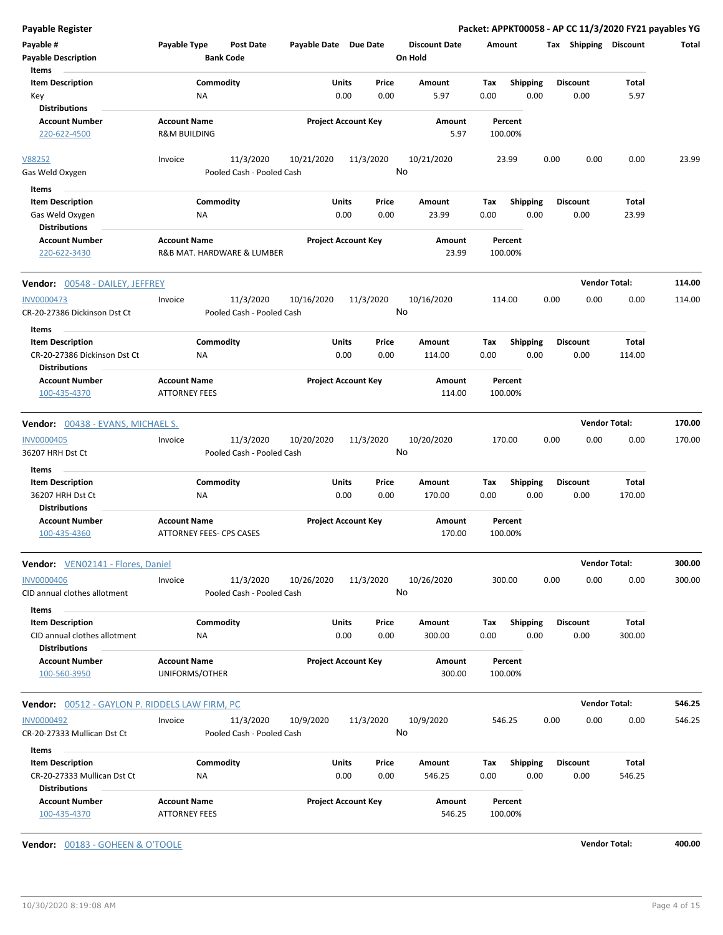| <b>Payable Register</b>                                 |                                       |                           |                       |                            |                      |             |                         |      |                         | Packet: APPKT00058 - AP CC 11/3/2020 FY21 payables YG |        |
|---------------------------------------------------------|---------------------------------------|---------------------------|-----------------------|----------------------------|----------------------|-------------|-------------------------|------|-------------------------|-------------------------------------------------------|--------|
| Payable #                                               | Payable Type                          | <b>Post Date</b>          | Payable Date Due Date |                            | <b>Discount Date</b> |             | Amount                  |      |                         | Tax Shipping Discount                                 | Total  |
| <b>Payable Description</b>                              |                                       | <b>Bank Code</b>          |                       |                            | On Hold              |             |                         |      |                         |                                                       |        |
| Items                                                   |                                       |                           |                       |                            |                      |             |                         |      |                         |                                                       |        |
| <b>Item Description</b>                                 | Commodity                             |                           | <b>Units</b>          | Price                      | <b>Amount</b>        | Tax         | <b>Shipping</b>         |      | <b>Discount</b>         | Total                                                 |        |
| Key                                                     | <b>NA</b>                             |                           |                       | 0.00<br>0.00               | 5.97                 | 0.00        | 0.00                    |      | 0.00                    | 5.97                                                  |        |
| <b>Distributions</b>                                    |                                       |                           |                       |                            |                      |             |                         |      |                         |                                                       |        |
| <b>Account Number</b>                                   | <b>Account Name</b>                   |                           |                       | <b>Project Account Key</b> | Amount               |             | Percent                 |      |                         |                                                       |        |
| 220-622-4500                                            | <b>R&amp;M BUILDING</b>               |                           |                       |                            | 5.97                 |             | 100.00%                 |      |                         |                                                       |        |
| V88252                                                  | Invoice                               | 11/3/2020                 | 10/21/2020            | 11/3/2020                  | 10/21/2020           |             | 23.99                   | 0.00 | 0.00                    | 0.00                                                  | 23.99  |
| Gas Weld Oxygen                                         |                                       | Pooled Cash - Pooled Cash |                       |                            | No                   |             |                         |      |                         |                                                       |        |
| Items                                                   |                                       |                           |                       |                            |                      |             |                         |      |                         |                                                       |        |
| <b>Item Description</b>                                 | Commodity                             |                           | Units                 | Price                      | Amount               | Tax         | <b>Shipping</b>         |      | <b>Discount</b>         | Total                                                 |        |
| Gas Weld Oxygen                                         | ΝA                                    |                           |                       | 0.00<br>0.00               | 23.99                | 0.00        | 0.00                    |      | 0.00                    | 23.99                                                 |        |
| <b>Distributions</b>                                    |                                       |                           |                       |                            |                      |             |                         |      |                         |                                                       |        |
| <b>Account Number</b>                                   | <b>Account Name</b>                   |                           |                       | <b>Project Account Key</b> | Amount               |             | Percent                 |      |                         |                                                       |        |
| 220-622-3430                                            | R&B MAT. HARDWARE & LUMBER            |                           |                       |                            | 23.99                |             | 100.00%                 |      |                         |                                                       |        |
| Vendor: 00548 - DAILEY, JEFFREY                         |                                       |                           |                       |                            |                      |             |                         |      |                         | <b>Vendor Total:</b>                                  | 114.00 |
| <b>INV0000473</b>                                       | Invoice                               | 11/3/2020                 | 10/16/2020            | 11/3/2020                  | 10/16/2020           |             | 114.00                  | 0.00 | 0.00                    | 0.00                                                  | 114.00 |
| CR-20-27386 Dickinson Dst Ct                            |                                       | Pooled Cash - Pooled Cash |                       |                            | No                   |             |                         |      |                         |                                                       |        |
| Items                                                   |                                       |                           |                       |                            |                      |             |                         |      |                         |                                                       |        |
| <b>Item Description</b><br>CR-20-27386 Dickinson Dst Ct | Commodity<br>NA                       |                           | Units                 | Price<br>0.00<br>0.00      | Amount<br>114.00     | Tax<br>0.00 | <b>Shipping</b><br>0.00 |      | <b>Discount</b><br>0.00 | Total<br>114.00                                       |        |
| <b>Distributions</b><br><b>Account Number</b>           | <b>Account Name</b>                   |                           |                       | <b>Project Account Key</b> | Amount               |             | Percent                 |      |                         |                                                       |        |
| 100-435-4370                                            | <b>ATTORNEY FEES</b>                  |                           |                       |                            | 114.00               |             | 100.00%                 |      |                         |                                                       |        |
| <b>Vendor: 00438 - EVANS, MICHAEL S.</b>                |                                       |                           |                       |                            |                      |             |                         |      |                         | <b>Vendor Total:</b>                                  | 170.00 |
| <b>INV0000405</b>                                       | Invoice                               | 11/3/2020                 | 10/20/2020            | 11/3/2020                  | 10/20/2020           |             | 170.00                  | 0.00 | 0.00                    | 0.00                                                  | 170.00 |
| 36207 HRH Dst Ct                                        |                                       | Pooled Cash - Pooled Cash |                       |                            | No                   |             |                         |      |                         |                                                       |        |
| Items                                                   |                                       |                           |                       |                            |                      |             |                         |      |                         |                                                       |        |
| <b>Item Description</b>                                 | Commodity                             |                           | Units                 | Price                      | Amount               | Tax         | <b>Shipping</b>         |      | <b>Discount</b>         | <b>Total</b>                                          |        |
| 36207 HRH Dst Ct                                        | <b>NA</b>                             |                           |                       | 0.00<br>0.00               | 170.00               | 0.00        | 0.00                    |      | 0.00                    | 170.00                                                |        |
| <b>Distributions</b>                                    |                                       |                           |                       |                            |                      |             |                         |      |                         |                                                       |        |
| <b>Account Number</b>                                   | <b>Account Name</b>                   |                           |                       | <b>Project Account Key</b> | Amount               |             | Percent                 |      |                         |                                                       |        |
| 100-435-4360                                            | ATTORNEY FEES- CPS CASES              |                           |                       |                            | 170.00               |             | 100.00%                 |      |                         |                                                       |        |
| Vendor: VEN02141 - Flores, Daniel                       |                                       |                           |                       |                            |                      |             |                         |      |                         | <b>Vendor Total:</b>                                  | 300.00 |
| <b>INV0000406</b>                                       | Invoice                               | 11/3/2020                 | 10/26/2020            | 11/3/2020                  | 10/26/2020           |             | 300.00                  | 0.00 | 0.00                    | 0.00                                                  | 300.00 |
| CID annual clothes allotment                            |                                       | Pooled Cash - Pooled Cash |                       |                            | No                   |             |                         |      |                         |                                                       |        |
| Items                                                   |                                       |                           |                       |                            |                      |             |                         |      |                         |                                                       |        |
| <b>Item Description</b>                                 | Commodity                             |                           | Units                 | Price                      | Amount               | Тах         | <b>Shipping</b>         |      | <b>Discount</b>         | Total                                                 |        |
| CID annual clothes allotment                            | ΝA                                    |                           |                       | 0.00<br>0.00               | 300.00               | 0.00        | 0.00                    |      | 0.00                    | 300.00                                                |        |
| <b>Distributions</b>                                    |                                       |                           |                       |                            |                      |             |                         |      |                         |                                                       |        |
| <b>Account Number</b><br>100-560-3950                   | <b>Account Name</b><br>UNIFORMS/OTHER |                           |                       | <b>Project Account Key</b> | Amount<br>300.00     |             | Percent<br>100.00%      |      |                         |                                                       |        |
| <b>Vendor:</b> 00512 - GAYLON P. RIDDELS LAW FIRM, PC   |                                       |                           |                       |                            |                      |             |                         |      |                         | <b>Vendor Total:</b>                                  | 546.25 |
| <b>INV0000492</b>                                       | Invoice                               | 11/3/2020                 | 10/9/2020             | 11/3/2020                  | 10/9/2020            |             | 546.25                  | 0.00 | 0.00                    | 0.00                                                  | 546.25 |
| CR-20-27333 Mullican Dst Ct                             |                                       | Pooled Cash - Pooled Cash |                       |                            | No                   |             |                         |      |                         |                                                       |        |
| Items                                                   |                                       |                           |                       |                            |                      |             |                         |      |                         |                                                       |        |
| <b>Item Description</b>                                 | Commodity                             |                           | Units                 | Price                      | Amount               | Тах         | <b>Shipping</b>         |      | <b>Discount</b>         | <b>Total</b>                                          |        |
| CR-20-27333 Mullican Dst Ct                             | ΝA                                    |                           |                       | 0.00<br>0.00               | 546.25               | 0.00        | 0.00                    |      | 0.00                    | 546.25                                                |        |
| <b>Distributions</b>                                    |                                       |                           |                       |                            |                      |             |                         |      |                         |                                                       |        |
| <b>Account Number</b>                                   | <b>Account Name</b>                   |                           |                       | <b>Project Account Key</b> | Amount               |             | Percent                 |      |                         |                                                       |        |
| 100-435-4370                                            | <b>ATTORNEY FEES</b>                  |                           |                       |                            | 546.25               |             | 100.00%                 |      |                         |                                                       |        |

**Vendor:** 00183 - GOHEEN & O'TOOLE **Vendor Total: 400.00**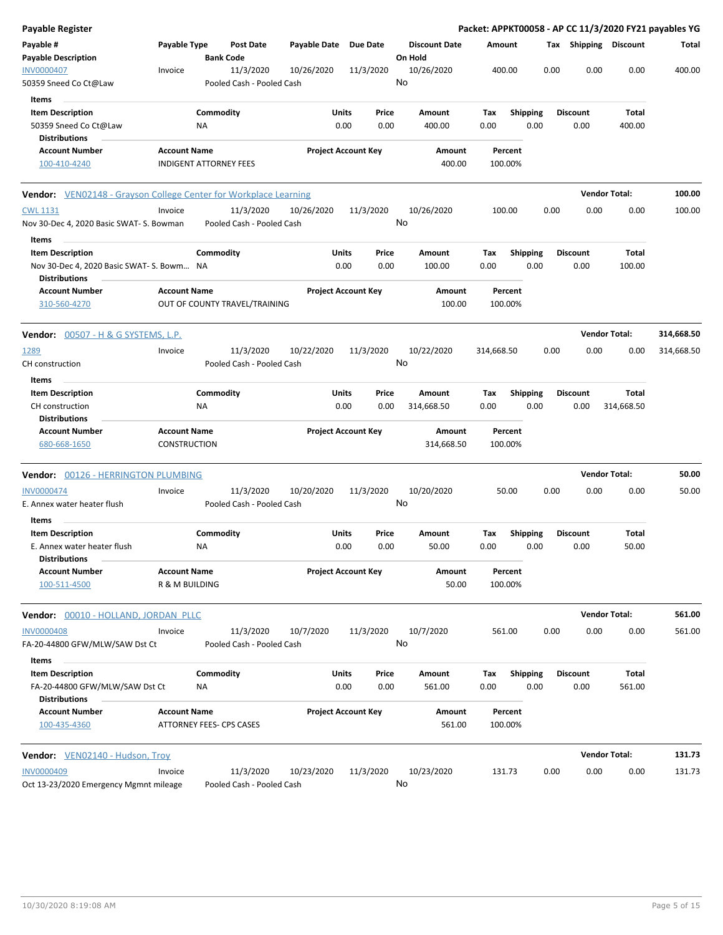| Payable Register                                                  |                                                      |                  |                                        |                       |                            |               |                                 |                    |                  |      |                         |                      | Packet: APPKT00058 - AP CC 11/3/2020 FY21 payables YG |
|-------------------------------------------------------------------|------------------------------------------------------|------------------|----------------------------------------|-----------------------|----------------------------|---------------|---------------------------------|--------------------|------------------|------|-------------------------|----------------------|-------------------------------------------------------|
| Payable #<br><b>Payable Description</b>                           | Payable Type                                         | <b>Bank Code</b> | <b>Post Date</b>                       | Payable Date Due Date |                            |               | <b>Discount Date</b><br>On Hold | Amount             |                  |      | Tax Shipping Discount   |                      | Total                                                 |
| <b>INV0000407</b><br>50359 Sneed Co Ct@Law                        | Invoice                                              |                  | 11/3/2020<br>Pooled Cash - Pooled Cash | 10/26/2020            |                            | 11/3/2020     | 10/26/2020<br>No                | 400.00             |                  | 0.00 | 0.00                    | 0.00                 | 400.00                                                |
| Items                                                             |                                                      |                  |                                        |                       |                            |               |                                 |                    |                  |      |                         |                      |                                                       |
| <b>Item Description</b>                                           |                                                      | Commodity        |                                        |                       | Units                      | Price         | Amount                          | Тах                | Shipping         |      | <b>Discount</b>         | Total                |                                                       |
| 50359 Sneed Co Ct@Law<br><b>Distributions</b>                     |                                                      | ΝA               |                                        |                       | 0.00                       | 0.00          | 400.00                          | 0.00               | 0.00             |      | 0.00                    | 400.00               |                                                       |
| <b>Account Number</b><br>100-410-4240                             | <b>Account Name</b><br><b>INDIGENT ATTORNEY FEES</b> |                  |                                        |                       | <b>Project Account Key</b> |               | Amount<br>400.00                | Percent<br>100.00% |                  |      |                         |                      |                                                       |
| Vendor: VEN02148 - Grayson College Center for Workplace Learning  |                                                      |                  |                                        |                       |                            |               |                                 |                    |                  |      |                         | <b>Vendor Total:</b> | 100.00                                                |
| <b>CWL 1131</b>                                                   | Invoice                                              |                  | 11/3/2020                              | 10/26/2020            |                            | 11/3/2020     | 10/26/2020                      | 100.00             |                  | 0.00 | 0.00                    | 0.00                 | 100.00                                                |
| Nov 30-Dec 4, 2020 Basic SWAT- S. Bowman<br>Items                 |                                                      |                  | Pooled Cash - Pooled Cash              |                       |                            |               | No                              |                    |                  |      |                         |                      |                                                       |
| <b>Item Description</b>                                           |                                                      | Commodity        |                                        |                       | Units                      | Price         | Amount                          | Tax                | <b>Shipping</b>  |      | <b>Discount</b>         | Total                |                                                       |
| Nov 30-Dec 4, 2020 Basic SWAT- S. Bowm NA<br><b>Distributions</b> |                                                      |                  |                                        |                       | 0.00                       | 0.00          | 100.00                          | 0.00               | 0.00             |      | 0.00                    | 100.00               |                                                       |
| <b>Account Number</b><br>310-560-4270                             | <b>Account Name</b>                                  |                  | OUT OF COUNTY TRAVEL/TRAINING          |                       | <b>Project Account Key</b> |               | Amount<br>100.00                | Percent<br>100.00% |                  |      |                         |                      |                                                       |
| <b>Vendor:</b> 00507 - H & G SYSTEMS, L.P.                        |                                                      |                  |                                        |                       |                            |               |                                 |                    |                  |      |                         | <b>Vendor Total:</b> | 314,668.50                                            |
| 1289                                                              | Invoice                                              |                  | 11/3/2020                              | 10/22/2020            |                            | 11/3/2020     | 10/22/2020                      | 314,668.50         |                  | 0.00 | 0.00                    | 0.00                 | 314,668.50                                            |
| CH construction<br>Items                                          |                                                      |                  | Pooled Cash - Pooled Cash              |                       |                            |               | No                              |                    |                  |      |                         |                      |                                                       |
| <b>Item Description</b>                                           |                                                      | Commodity        |                                        |                       | Units                      | Price         | Amount                          | Tax                | <b>Shipping</b>  |      | <b>Discount</b>         | Total                |                                                       |
| CH construction<br><b>Distributions</b>                           |                                                      | ΝA               |                                        |                       | 0.00                       | 0.00          | 314,668.50                      | 0.00               | 0.00             |      | 0.00                    | 314,668.50           |                                                       |
| <b>Account Number</b><br>680-668-1650                             | <b>Account Name</b><br><b>CONSTRUCTION</b>           |                  |                                        |                       | <b>Project Account Key</b> |               | Amount<br>314,668.50            | Percent<br>100.00% |                  |      |                         |                      |                                                       |
| <b>Vendor:</b> 00126 - HERRINGTON PLUMBING                        |                                                      |                  |                                        |                       |                            |               |                                 |                    |                  |      |                         | <b>Vendor Total:</b> | 50.00                                                 |
| <b>INV0000474</b><br>E. Annex water heater flush                  | Invoice                                              |                  | 11/3/2020<br>Pooled Cash - Pooled Cash | 10/20/2020            |                            | 11/3/2020     | 10/20/2020<br>No                | 50.00              |                  | 0.00 | 0.00                    | 0.00                 | 50.00                                                 |
| Items<br><b>Item Description</b>                                  |                                                      | Commodity        |                                        |                       | Units                      | Price         | Amount                          | Tax                | <b>Shipping</b>  |      | <b>Discount</b>         | Total                |                                                       |
| E. Annex water heater flush<br><b>Distributions</b>               |                                                      | <b>NA</b>        |                                        |                       | 0.00                       | 0.00          | 50.00                           | 0.00               | 0.00             |      | 0.00                    | 50.00                |                                                       |
| <b>Account Number</b><br>100-511-4500                             | <b>Account Name</b><br>R & M BUILDING                |                  |                                        |                       | <b>Project Account Key</b> |               | Amount<br>50.00                 | Percent<br>100.00% |                  |      |                         |                      |                                                       |
| Vendor: 00010 - HOLLAND, JORDAN PLLC                              |                                                      |                  |                                        |                       |                            |               |                                 |                    |                  |      |                         | <b>Vendor Total:</b> | 561.00                                                |
| <b>INV0000408</b><br>FA-20-44800 GFW/MLW/SAW Dst Ct               | Invoice                                              |                  | 11/3/2020<br>Pooled Cash - Pooled Cash | 10/7/2020             |                            | 11/3/2020     | 10/7/2020<br>No                 | 561.00             |                  | 0.00 | 0.00                    | 0.00                 | 561.00                                                |
| Items                                                             |                                                      |                  |                                        |                       |                            |               |                                 |                    |                  |      |                         |                      |                                                       |
| <b>Item Description</b><br>FA-20-44800 GFW/MLW/SAW Dst Ct         |                                                      | Commodity<br>ΝA  |                                        |                       | Units<br>0.00              | Price<br>0.00 | Amount<br>561.00                | Tax<br>0.00        | Shipping<br>0.00 |      | <b>Discount</b><br>0.00 | Total<br>561.00      |                                                       |
| <b>Distributions</b>                                              |                                                      |                  |                                        |                       |                            |               |                                 |                    |                  |      |                         |                      |                                                       |
| <b>Account Number</b><br>100-435-4360                             | <b>Account Name</b><br>ATTORNEY FEES- CPS CASES      |                  |                                        |                       | <b>Project Account Key</b> |               | Amount<br>561.00                | Percent<br>100.00% |                  |      |                         |                      |                                                       |
| Vendor: VEN02140 - Hudson, Troy                                   |                                                      |                  |                                        |                       |                            |               |                                 |                    |                  |      |                         | <b>Vendor Total:</b> | 131.73                                                |
| <b>INV0000409</b>                                                 | Invoice                                              |                  | 11/3/2020                              | 10/23/2020            |                            | 11/3/2020     | 10/23/2020                      | 131.73             |                  | 0.00 | 0.00                    | 0.00                 | 131.73                                                |
| Oct 13-23/2020 Emergency Mgmnt mileage                            |                                                      |                  | Pooled Cash - Pooled Cash              |                       |                            |               | No                              |                    |                  |      |                         |                      |                                                       |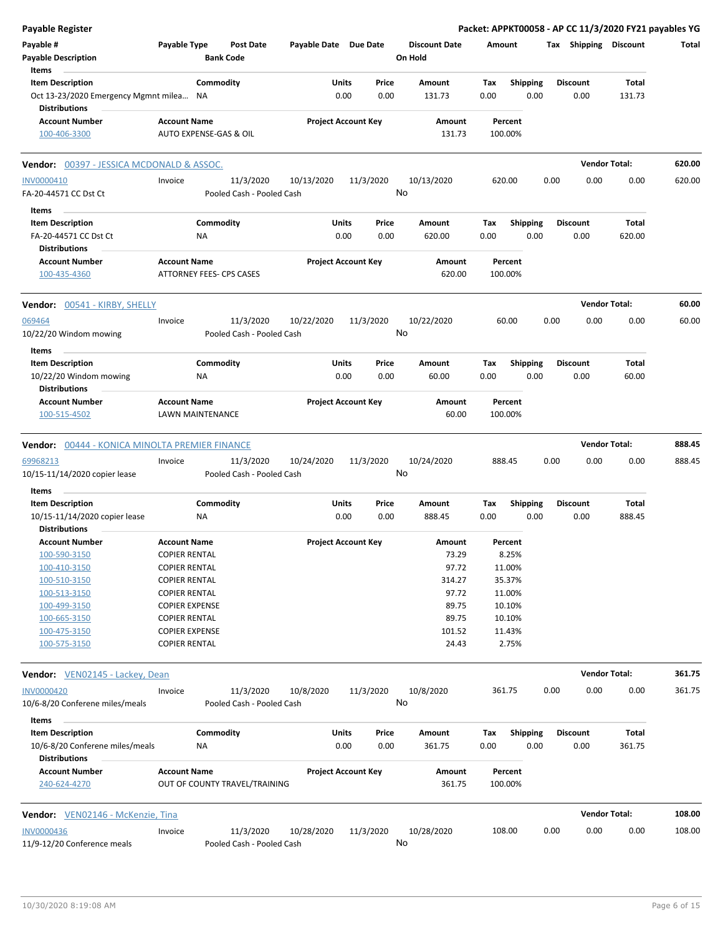| <b>Payable Register</b>                                         |                                                      |                       |                            |                                 | Packet: APPKT00058 - AP CC 11/3/2020 FY21 payables YG |                         |                      |        |
|-----------------------------------------------------------------|------------------------------------------------------|-----------------------|----------------------------|---------------------------------|-------------------------------------------------------|-------------------------|----------------------|--------|
| Payable #<br><b>Payable Description</b>                         | Payable Type<br><b>Post Date</b><br><b>Bank Code</b> | Payable Date Due Date |                            | <b>Discount Date</b><br>On Hold | Amount                                                | Tax Shipping Discount   |                      | Total  |
| Items<br><b>Item Description</b>                                | Commodity                                            | <b>Units</b>          | Price                      | Amount                          | <b>Shipping</b><br>Tax                                | <b>Discount</b>         | Total                |        |
| Oct 13-23/2020 Emergency Mgmnt milea NA<br><b>Distributions</b> |                                                      | 0.00                  | 0.00                       | 131.73                          | 0.00<br>0.00                                          | 0.00                    | 131.73               |        |
| <b>Account Number</b><br>100-406-3300                           | <b>Account Name</b><br>AUTO EXPENSE-GAS & OIL        |                       | <b>Project Account Key</b> | Amount<br>131.73                | Percent<br>100.00%                                    |                         |                      |        |
| Vendor: 00397 - JESSICA MCDONALD & ASSOC.                       |                                                      |                       |                            |                                 |                                                       |                         | <b>Vendor Total:</b> | 620.00 |
| INV0000410                                                      | 11/3/2020<br>Invoice                                 | 10/13/2020            | 11/3/2020                  | 10/13/2020                      | 620.00                                                | 0.00<br>0.00            | 0.00                 | 620.00 |
| FA-20-44571 CC Dst Ct                                           | Pooled Cash - Pooled Cash                            |                       | No                         |                                 |                                                       |                         |                      |        |
| Items                                                           |                                                      |                       |                            |                                 |                                                       |                         |                      |        |
| <b>Item Description</b>                                         | Commodity                                            | Units                 | Price                      | Amount                          | <b>Shipping</b><br>Tax                                | <b>Discount</b>         | Total                |        |
| FA-20-44571 CC Dst Ct<br><b>Distributions</b>                   | ΝA                                                   | 0.00                  | 0.00                       | 620.00                          | 0.00<br>0.00                                          | 0.00                    | 620.00               |        |
| <b>Account Number</b><br>100-435-4360                           | <b>Account Name</b><br>ATTORNEY FEES- CPS CASES      |                       | <b>Project Account Key</b> | Amount<br>620.00                | Percent<br>100.00%                                    |                         |                      |        |
| <b>Vendor:</b> 00541 - KIRBY, SHELLY                            |                                                      |                       |                            |                                 |                                                       |                         | <b>Vendor Total:</b> | 60.00  |
| 069464<br>10/22/20 Windom mowing                                | 11/3/2020<br>Invoice<br>Pooled Cash - Pooled Cash    | 10/22/2020            | 11/3/2020<br>No            | 10/22/2020                      | 60.00                                                 | 0.00<br>0.00            | 0.00                 | 60.00  |
| Items                                                           |                                                      |                       |                            |                                 |                                                       |                         |                      |        |
| <b>Item Description</b><br>10/22/20 Windom mowing               | Commodity<br>ΝA                                      | Units<br>0.00         | Price<br>0.00              | Amount<br>60.00                 | Tax<br><b>Shipping</b><br>0.00<br>0.00                | <b>Discount</b><br>0.00 | Total<br>60.00       |        |
| <b>Distributions</b>                                            |                                                      |                       |                            |                                 |                                                       |                         |                      |        |
| <b>Account Number</b><br>100-515-4502                           | <b>Account Name</b><br>LAWN MAINTENANCE              |                       | <b>Project Account Key</b> | Amount<br>60.00                 | Percent<br>100.00%                                    |                         |                      |        |
| <b>Vendor:</b> 00444 - KONICA MINOLTA PREMIER FINANCE           |                                                      |                       |                            |                                 |                                                       |                         | <b>Vendor Total:</b> | 888.45 |
| 69968213                                                        | 11/3/2020<br>Invoice                                 | 10/24/2020            | 11/3/2020                  | 10/24/2020                      | 888.45                                                | 0.00<br>0.00            | 0.00                 | 888.45 |
| 10/15-11/14/2020 copier lease                                   | Pooled Cash - Pooled Cash                            |                       | No                         |                                 |                                                       |                         |                      |        |
| Items                                                           |                                                      |                       |                            |                                 |                                                       |                         |                      |        |
| <b>Item Description</b>                                         | Commodity                                            | Units                 | Price                      | Amount                          | Tax<br><b>Shipping</b>                                | <b>Discount</b>         | Total                |        |
| 10/15-11/14/2020 copier lease<br><b>Distributions</b>           | ΝA                                                   | 0.00                  | 0.00                       | 888.45                          | 0.00<br>0.00                                          | 0.00                    | 888.45               |        |
| <b>Account Number</b>                                           | <b>Account Name</b>                                  |                       | <b>Project Account Key</b> | Amount                          | Percent                                               |                         |                      |        |
| 100-590-3150                                                    | <b>COPIER RENTAL</b>                                 |                       |                            | 73.29                           | 8.25%                                                 |                         |                      |        |
| 100-410-3150                                                    | <b>COPIER RENTAL</b>                                 |                       |                            | 97.72                           | 11.00%                                                |                         |                      |        |
| 100-510-3150                                                    | <b>COPIER RENTAL</b>                                 |                       |                            | 314.27                          | 35.37%                                                |                         |                      |        |
| 100-513-3150                                                    | <b>COPIER RENTAL</b>                                 |                       |                            | 97.72                           | 11.00%                                                |                         |                      |        |
| 100-499-3150                                                    | <b>COPIER EXPENSE</b>                                |                       |                            | 89.75                           | 10.10%                                                |                         |                      |        |
| 100-665-3150                                                    | <b>COPIER RENTAL</b>                                 |                       |                            | 89.75                           | 10.10%                                                |                         |                      |        |
| 100-475-3150<br>100-575-3150                                    | <b>COPIER EXPENSE</b><br><b>COPIER RENTAL</b>        |                       |                            | 101.52<br>24.43                 | 11.43%<br>2.75%                                       |                         |                      |        |
| Vendor: VEN02145 - Lackey, Dean                                 |                                                      |                       |                            |                                 |                                                       |                         | <b>Vendor Total:</b> | 361.75 |
| <b>INV0000420</b><br>10/6-8/20 Conferene miles/meals            | 11/3/2020<br>Invoice<br>Pooled Cash - Pooled Cash    | 10/8/2020             | 11/3/2020<br>No            | 10/8/2020                       | 361.75                                                | 0.00<br>0.00            | 0.00                 | 361.75 |
| Items                                                           |                                                      |                       |                            |                                 |                                                       |                         |                      |        |
| <b>Item Description</b><br>10/6-8/20 Conferene miles/meals      | Commodity<br><b>NA</b>                               | <b>Units</b><br>0.00  | Price<br>0.00              | Amount<br>361.75                | <b>Shipping</b><br>Tax<br>0.00<br>0.00                | <b>Discount</b><br>0.00 | Total<br>361.75      |        |
| <b>Distributions</b>                                            |                                                      |                       |                            |                                 |                                                       |                         |                      |        |
| <b>Account Number</b><br>240-624-4270                           | <b>Account Name</b><br>OUT OF COUNTY TRAVEL/TRAINING |                       | <b>Project Account Key</b> | Amount<br>361.75                | Percent<br>100.00%                                    |                         |                      |        |
| <b>Vendor:</b> VEN02146 - McKenzie, Tina                        |                                                      |                       |                            |                                 |                                                       |                         | <b>Vendor Total:</b> | 108.00 |
| <b>INV0000436</b>                                               | 11/3/2020<br>Invoice                                 | 10/28/2020            | 11/3/2020                  | 10/28/2020                      | 108.00                                                | 0.00<br>0.00            | 0.00                 | 108.00 |
| 11/9-12/20 Conference meals                                     | Pooled Cash - Pooled Cash                            |                       | No                         |                                 |                                                       |                         |                      |        |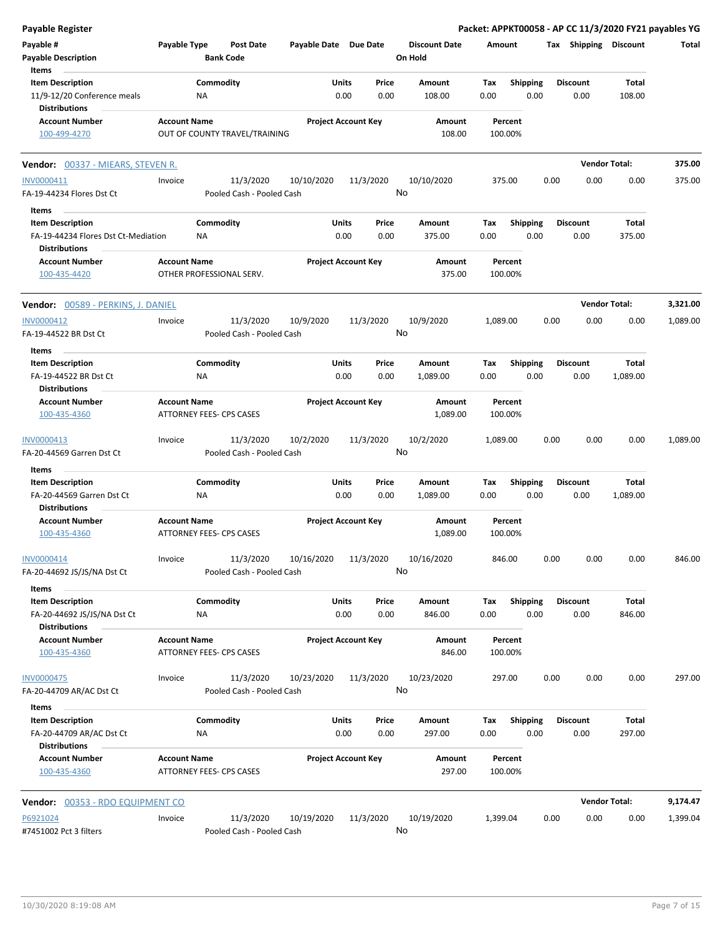| <b>Payable Register</b>                                                        |                     |                                        |                       |                            |                                 |                    |                         | Packet: APPKT00058 - AP CC 11/3/2020 FY21 payables YG |                      |          |
|--------------------------------------------------------------------------------|---------------------|----------------------------------------|-----------------------|----------------------------|---------------------------------|--------------------|-------------------------|-------------------------------------------------------|----------------------|----------|
| Payable #<br><b>Payable Description</b>                                        | Payable Type        | <b>Post Date</b><br><b>Bank Code</b>   | Payable Date Due Date |                            | <b>Discount Date</b><br>On Hold | Amount             |                         | Tax Shipping Discount                                 |                      | Total    |
| Items                                                                          |                     |                                        |                       |                            |                                 |                    |                         |                                                       |                      |          |
| <b>Item Description</b><br>11/9-12/20 Conference meals<br><b>Distributions</b> |                     | Commodity<br>ΝA                        | Units                 | Price<br>0.00<br>0.00      | Amount<br>108.00                | Tax<br>0.00        | <b>Shipping</b><br>0.00 | <b>Discount</b><br>0.00                               | Total<br>108.00      |          |
| <b>Account Number</b><br>100-499-4270                                          | <b>Account Name</b> | OUT OF COUNTY TRAVEL/TRAINING          |                       | <b>Project Account Key</b> | Amount<br>108.00                | Percent<br>100.00% |                         |                                                       |                      |          |
| Vendor: 00337 - MIEARS, STEVEN R.                                              |                     |                                        |                       |                            |                                 |                    |                         |                                                       | <b>Vendor Total:</b> | 375.00   |
| INV0000411                                                                     | Invoice             | 11/3/2020                              | 10/10/2020            | 11/3/2020                  | 10/10/2020                      | 375.00             |                         | 0.00<br>0.00                                          | 0.00                 | 375.00   |
| FA-19-44234 Flores Dst Ct                                                      |                     | Pooled Cash - Pooled Cash              |                       |                            | No                              |                    |                         |                                                       |                      |          |
| Items                                                                          |                     |                                        |                       |                            |                                 |                    |                         |                                                       |                      |          |
| <b>Item Description</b>                                                        |                     | Commodity                              | Units                 | Price                      | Amount                          | Tax                | <b>Shipping</b>         | Discount                                              | Total                |          |
| FA-19-44234 Flores Dst Ct-Mediation<br><b>Distributions</b>                    |                     | ΝA                                     |                       | 0.00<br>0.00               | 375.00                          | 0.00               | 0.00                    | 0.00                                                  | 375.00               |          |
| <b>Account Number</b><br>100-435-4420                                          | <b>Account Name</b> | OTHER PROFESSIONAL SERV.               |                       | <b>Project Account Key</b> | Amount<br>375.00                | Percent<br>100.00% |                         |                                                       |                      |          |
| Vendor: 00589 - PERKINS, J. DANIEL                                             |                     |                                        |                       |                            |                                 |                    |                         |                                                       | <b>Vendor Total:</b> | 3,321.00 |
| INV0000412<br>FA-19-44522 BR Dst Ct                                            | Invoice             | 11/3/2020<br>Pooled Cash - Pooled Cash | 10/9/2020             | 11/3/2020                  | 10/9/2020<br>No                 | 1,089.00           |                         | 0.00<br>0.00                                          | 0.00                 | 1,089.00 |
| Items                                                                          |                     |                                        |                       |                            |                                 |                    |                         |                                                       |                      |          |
| <b>Item Description</b><br>FA-19-44522 BR Dst Ct                               |                     | Commodity<br>ΝA                        | Units                 | Price<br>0.00<br>0.00      | Amount<br>1,089.00              | Tax<br>0.00        | <b>Shipping</b><br>0.00 | <b>Discount</b><br>0.00                               | Total<br>1,089.00    |          |
| <b>Distributions</b>                                                           |                     |                                        |                       |                            |                                 |                    |                         |                                                       |                      |          |
| <b>Account Number</b><br>100-435-4360                                          | <b>Account Name</b> | ATTORNEY FEES- CPS CASES               |                       | <b>Project Account Key</b> | Amount<br>1,089.00              | Percent<br>100.00% |                         |                                                       |                      |          |
| INV0000413<br>FA-20-44569 Garren Dst Ct                                        | Invoice             | 11/3/2020<br>Pooled Cash - Pooled Cash | 10/2/2020             | 11/3/2020                  | 10/2/2020<br>No                 | 1,089.00           |                         | 0.00<br>0.00                                          | 0.00                 | 1,089.00 |
| Items                                                                          |                     |                                        |                       |                            |                                 |                    |                         |                                                       |                      |          |
| <b>Item Description</b><br>FA-20-44569 Garren Dst Ct<br><b>Distributions</b>   |                     | Commodity<br>ΝA                        | Units                 | Price<br>0.00<br>0.00      | Amount<br>1,089.00              | Tax<br>0.00        | <b>Shipping</b><br>0.00 | Discount<br>0.00                                      | Total<br>1,089.00    |          |
| <b>Account Number</b><br>100-435-4360                                          | <b>Account Name</b> | ATTORNEY FEES- CPS CASES               |                       | <b>Project Account Key</b> | Amount<br>1.089.00              | Percent<br>100.00% |                         |                                                       |                      |          |
| INV0000414                                                                     | Invoice             | 11/3/2020                              | 10/16/2020            | 11/3/2020                  | 10/16/2020                      | 846.00             |                         | 0.00<br>0.00                                          | 0.00                 | 846.00   |
| FA-20-44692 JS/JS/NA Dst Ct                                                    |                     | Pooled Cash - Pooled Cash              |                       |                            | No                              |                    |                         |                                                       |                      |          |
| Items                                                                          |                     |                                        |                       |                            |                                 |                    |                         |                                                       |                      |          |
| <b>Item Description</b><br>FA-20-44692 JS/JS/NA Dst Ct                         |                     | Commodity<br>NA                        | Units                 | Price<br>0.00<br>0.00      | Amount<br>846.00                | Tax<br>0.00        | <b>Shipping</b><br>0.00 | <b>Discount</b><br>0.00                               | Total<br>846.00      |          |
| <b>Distributions</b><br><b>Account Number</b><br>100-435-4360                  | <b>Account Name</b> | ATTORNEY FEES- CPS CASES               |                       | <b>Project Account Key</b> | <b>Amount</b><br>846.00         | Percent<br>100.00% |                         |                                                       |                      |          |
| <b>INV0000475</b>                                                              | Invoice             | 11/3/2020                              | 10/23/2020            | 11/3/2020                  | 10/23/2020                      | 297.00             |                         | 0.00<br>0.00                                          | 0.00                 | 297.00   |
| FA-20-44709 AR/AC Dst Ct<br>Items                                              |                     | Pooled Cash - Pooled Cash              |                       |                            | No                              |                    |                         |                                                       |                      |          |
| <b>Item Description</b>                                                        |                     | Commodity                              | Units                 | Price                      | Amount                          | Tax                | Shipping                | <b>Discount</b>                                       | Total                |          |
| FA-20-44709 AR/AC Dst Ct<br><b>Distributions</b>                               |                     | ΝA                                     |                       | 0.00<br>0.00               | 297.00                          | 0.00               | 0.00                    | 0.00                                                  | 297.00               |          |
| <b>Account Number</b><br>100-435-4360                                          | <b>Account Name</b> | ATTORNEY FEES- CPS CASES               |                       | <b>Project Account Key</b> | Amount<br>297.00                | Percent<br>100.00% |                         |                                                       |                      |          |
| Vendor: 00353 - RDO EQUIPMENT CO                                               |                     |                                        |                       |                            |                                 |                    |                         |                                                       | <b>Vendor Total:</b> | 9,174.47 |
| P6921024                                                                       | Invoice             | 11/3/2020                              | 10/19/2020            | 11/3/2020                  | 10/19/2020                      | 1,399.04           |                         | 0.00<br>0.00                                          | 0.00                 | 1,399.04 |
| #7451002 Pct 3 filters                                                         |                     | Pooled Cash - Pooled Cash              |                       |                            | No                              |                    |                         |                                                       |                      |          |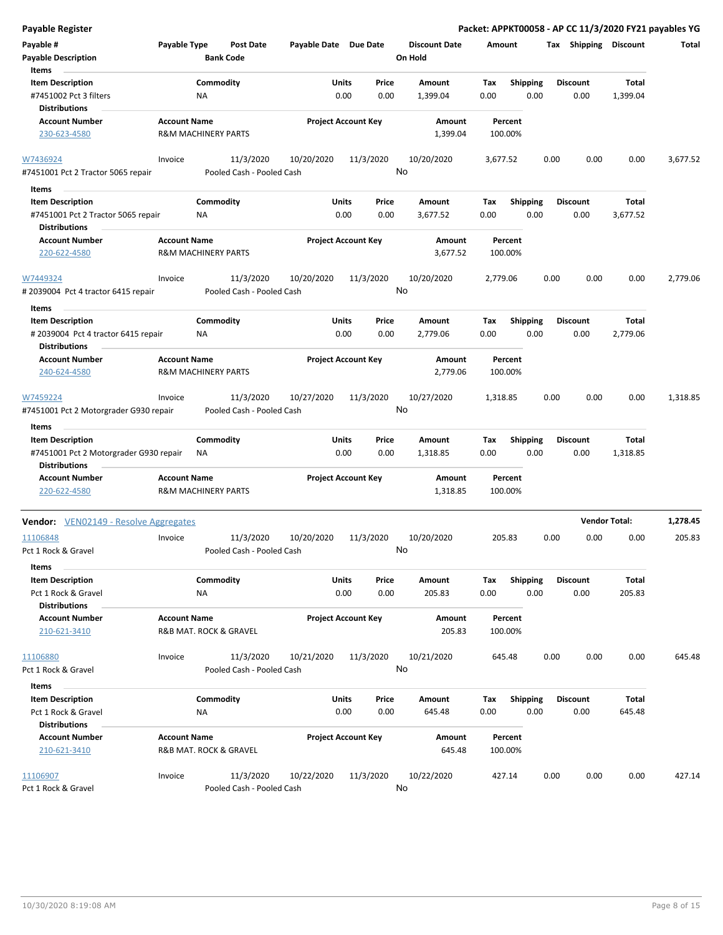| <b>Payable Register</b>                                                                   |                                                       |                                        |                       |                                |                                 |                    |                         |      |                         | Packet: APPKT00058 - AP CC 11/3/2020 FY21 payables YG |          |
|-------------------------------------------------------------------------------------------|-------------------------------------------------------|----------------------------------------|-----------------------|--------------------------------|---------------------------------|--------------------|-------------------------|------|-------------------------|-------------------------------------------------------|----------|
| Payable #<br><b>Payable Description</b>                                                   | Payable Type                                          | <b>Post Date</b><br><b>Bank Code</b>   | Payable Date Due Date |                                | <b>Discount Date</b><br>On Hold | Amount             |                         |      | Tax Shipping Discount   |                                                       | Total    |
| Items<br><b>Item Description</b><br>#7451002 Pct 3 filters                                | <b>NA</b>                                             | Commodity                              |                       | Units<br>Price<br>0.00<br>0.00 | Amount<br>1,399.04              | Tax<br>0.00        | <b>Shipping</b><br>0.00 |      | <b>Discount</b><br>0.00 | Total<br>1,399.04                                     |          |
| <b>Distributions</b><br><b>Account Number</b>                                             | <b>Account Name</b>                                   |                                        |                       | <b>Project Account Key</b>     | Amount                          | Percent            |                         |      |                         |                                                       |          |
| 230-623-4580                                                                              | <b>R&amp;M MACHINERY PARTS</b>                        |                                        |                       |                                | 1,399.04                        | 100.00%            |                         |      |                         |                                                       |          |
| W7436924<br>#7451001 Pct 2 Tractor 5065 repair                                            | Invoice                                               | 11/3/2020<br>Pooled Cash - Pooled Cash | 10/20/2020            | 11/3/2020                      | 10/20/2020<br>No                | 3,677.52           |                         | 0.00 | 0.00                    | 0.00                                                  | 3,677.52 |
| Items                                                                                     |                                                       |                                        |                       |                                |                                 |                    |                         |      |                         |                                                       |          |
| <b>Item Description</b><br>#7451001 Pct 2 Tractor 5065 repair<br><b>Distributions</b>     | <b>NA</b>                                             | Commodity                              | Units                 | Price<br>0.00<br>0.00          | Amount<br>3,677.52              | Tax<br>0.00        | <b>Shipping</b><br>0.00 |      | <b>Discount</b><br>0.00 | Total<br>3,677.52                                     |          |
| <b>Account Number</b>                                                                     | <b>Account Name</b>                                   |                                        |                       | <b>Project Account Key</b>     | Amount                          | Percent            |                         |      |                         |                                                       |          |
| 220-622-4580                                                                              | <b>R&amp;M MACHINERY PARTS</b>                        |                                        |                       |                                | 3,677.52                        | 100.00%            |                         |      |                         |                                                       |          |
| W7449324<br># 2039004 Pct 4 tractor 6415 repair                                           | Invoice                                               | 11/3/2020<br>Pooled Cash - Pooled Cash | 10/20/2020            | 11/3/2020                      | 10/20/2020<br>No                | 2,779.06           |                         | 0.00 | 0.00                    | 0.00                                                  | 2,779.06 |
| Items                                                                                     |                                                       |                                        |                       |                                |                                 |                    |                         |      |                         |                                                       |          |
| <b>Item Description</b><br>#2039004 Pct 4 tractor 6415 repair<br><b>Distributions</b>     | ΝA                                                    | Commodity                              |                       | Units<br>Price<br>0.00<br>0.00 | Amount<br>2,779.06              | Tax<br>0.00        | <b>Shipping</b><br>0.00 |      | <b>Discount</b><br>0.00 | Total<br>2,779.06                                     |          |
| <b>Account Number</b><br>240-624-4580                                                     | <b>Account Name</b><br><b>R&amp;M MACHINERY PARTS</b> |                                        |                       | <b>Project Account Key</b>     | Amount<br>2,779.06              | Percent<br>100.00% |                         |      |                         |                                                       |          |
| W7459224<br>#7451001 Pct 2 Motorgrader G930 repair                                        | Invoice                                               | 11/3/2020<br>Pooled Cash - Pooled Cash | 10/27/2020            | 11/3/2020                      | 10/27/2020<br>No                | 1,318.85           |                         | 0.00 | 0.00                    | 0.00                                                  | 1,318.85 |
| Items                                                                                     |                                                       |                                        |                       |                                |                                 |                    |                         |      |                         |                                                       |          |
| <b>Item Description</b><br>#7451001 Pct 2 Motorgrader G930 repair<br><b>Distributions</b> | ΝA                                                    | Commodity                              | Units                 | Price<br>0.00<br>0.00          | Amount<br>1,318.85              | Tax<br>0.00        | Shipping<br>0.00        |      | <b>Discount</b><br>0.00 | Total<br>1,318.85                                     |          |
| <b>Account Number</b><br>220-622-4580                                                     | <b>Account Name</b><br><b>R&amp;M MACHINERY PARTS</b> |                                        |                       | <b>Project Account Key</b>     | Amount<br>1,318.85              | Percent<br>100.00% |                         |      |                         |                                                       |          |
| Vendor: VEN02149 - Resolve Aggregates                                                     |                                                       |                                        |                       |                                |                                 |                    |                         |      |                         | <b>Vendor Total:</b>                                  | 1,278.45 |
| 11106848<br>Pct 1 Rock & Gravel                                                           | Invoice                                               | 11/3/2020<br>Pooled Cash - Pooled Cash | 10/20/2020            | 11/3/2020                      | 10/20/2020<br>No.               | 205.83             |                         | 0.00 | 0.00                    | 0.00                                                  | 205.83   |
| Items<br><b>Item Description</b><br>Pct 1 Rock & Gravel                                   | ΝA                                                    | Commodity                              |                       | Units<br>Price<br>0.00<br>0.00 | Amount<br>205.83                | Tax<br>0.00        | <b>Shipping</b><br>0.00 |      | <b>Discount</b><br>0.00 | <b>Total</b><br>205.83                                |          |
| <b>Distributions</b><br><b>Account Number</b><br>210-621-3410                             | <b>Account Name</b>                                   | R&B MAT. ROCK & GRAVEL                 |                       | <b>Project Account Key</b>     | Amount<br>205.83                | Percent<br>100.00% |                         |      |                         |                                                       |          |
| 11106880<br>Pct 1 Rock & Gravel                                                           | Invoice                                               | 11/3/2020<br>Pooled Cash - Pooled Cash | 10/21/2020            | 11/3/2020                      | 10/21/2020<br>No                | 645.48             |                         | 0.00 | 0.00                    | 0.00                                                  | 645.48   |
| Items                                                                                     |                                                       |                                        |                       |                                |                                 |                    |                         |      |                         |                                                       |          |
| <b>Item Description</b><br>Pct 1 Rock & Gravel<br><b>Distributions</b>                    | NA                                                    | Commodity                              |                       | Units<br>Price<br>0.00<br>0.00 | Amount<br>645.48                | Tax<br>0.00        | Shipping<br>0.00        |      | <b>Discount</b><br>0.00 | Total<br>645.48                                       |          |
| <b>Account Number</b><br>210-621-3410                                                     | <b>Account Name</b>                                   | R&B MAT. ROCK & GRAVEL                 |                       | <b>Project Account Key</b>     | Amount<br>645.48                | Percent<br>100.00% |                         |      |                         |                                                       |          |
| 11106907<br>Pct 1 Rock & Gravel                                                           | Invoice                                               | 11/3/2020<br>Pooled Cash - Pooled Cash | 10/22/2020            | 11/3/2020                      | 10/22/2020<br>No                | 427.14             |                         | 0.00 | 0.00                    | 0.00                                                  | 427.14   |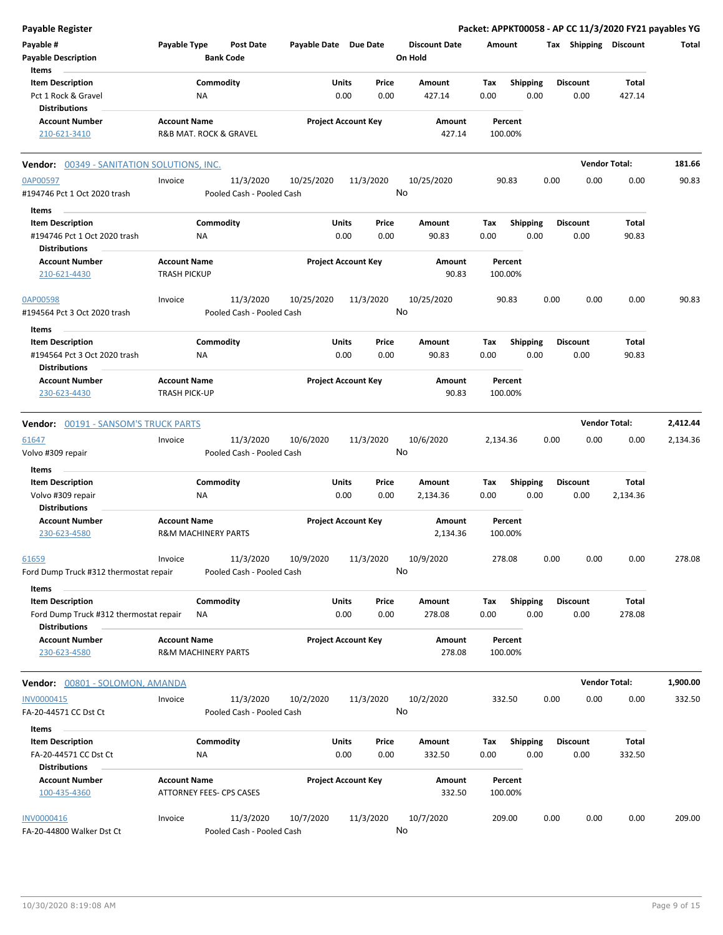| Payable Register                                  |                                                       |                                        |                            |              |           |                                 |          |                    |      |                       | Packet: APPKT00058 - AP CC 11/3/2020 FY21 payables YG |          |
|---------------------------------------------------|-------------------------------------------------------|----------------------------------------|----------------------------|--------------|-----------|---------------------------------|----------|--------------------|------|-----------------------|-------------------------------------------------------|----------|
| Payable #<br><b>Payable Description</b>           | Payable Type<br><b>Bank Code</b>                      | <b>Post Date</b>                       | Payable Date Due Date      |              |           | <b>Discount Date</b><br>On Hold | Amount   |                    |      | Tax Shipping Discount |                                                       | Total    |
| Items                                             |                                                       |                                        |                            |              |           |                                 |          |                    |      |                       |                                                       |          |
| <b>Item Description</b>                           | Commodity                                             |                                        |                            | <b>Units</b> | Price     | Amount                          | Tax      | <b>Shipping</b>    |      | <b>Discount</b>       | Total                                                 |          |
| Pct 1 Rock & Gravel                               | NA                                                    |                                        |                            | 0.00         | 0.00      | 427.14                          | 0.00     | 0.00               |      | 0.00                  | 427.14                                                |          |
| <b>Distributions</b>                              |                                                       |                                        |                            |              |           |                                 |          |                    |      |                       |                                                       |          |
| <b>Account Number</b>                             | <b>Account Name</b>                                   |                                        | <b>Project Account Key</b> |              |           | Amount                          |          | Percent            |      |                       |                                                       |          |
| 210-621-3410                                      | R&B MAT. ROCK & GRAVEL                                |                                        |                            |              |           | 427.14                          |          | 100.00%            |      |                       |                                                       |          |
| <b>Vendor: 00349 - SANITATION SOLUTIONS, INC.</b> |                                                       |                                        |                            |              |           |                                 |          |                    |      |                       | <b>Vendor Total:</b>                                  | 181.66   |
| 0AP00597<br>#194746 Pct 1 Oct 2020 trash          | Invoice                                               | 11/3/2020<br>Pooled Cash - Pooled Cash | 10/25/2020                 |              | 11/3/2020 | 10/25/2020<br>No                |          | 90.83              | 0.00 | 0.00                  | 0.00                                                  | 90.83    |
| Items                                             |                                                       |                                        |                            |              |           |                                 |          |                    |      |                       |                                                       |          |
| <b>Item Description</b>                           | Commodity                                             |                                        |                            | Units        | Price     | Amount                          | Tax      | <b>Shipping</b>    |      | <b>Discount</b>       | Total                                                 |          |
| #194746 Pct 1 Oct 2020 trash                      | ΝA                                                    |                                        |                            | 0.00         | 0.00      | 90.83                           | 0.00     | 0.00               |      | 0.00                  | 90.83                                                 |          |
| Distributions                                     |                                                       |                                        |                            |              |           |                                 |          |                    |      |                       |                                                       |          |
| <b>Account Number</b>                             | <b>Account Name</b>                                   |                                        | <b>Project Account Key</b> |              |           | Amount                          |          | Percent            |      |                       |                                                       |          |
| 210-621-4430                                      | <b>TRASH PICKUP</b>                                   |                                        |                            |              |           | 90.83                           |          | 100.00%            |      |                       |                                                       |          |
| 0AP00598                                          | Invoice                                               | 11/3/2020                              | 10/25/2020                 |              | 11/3/2020 | 10/25/2020                      |          | 90.83              | 0.00 | 0.00                  | 0.00                                                  | 90.83    |
| #194564 Pct 3 Oct 2020 trash                      |                                                       | Pooled Cash - Pooled Cash              |                            |              |           | No                              |          |                    |      |                       |                                                       |          |
| Items                                             |                                                       |                                        |                            |              |           |                                 |          |                    |      |                       |                                                       |          |
| <b>Item Description</b>                           | Commodity                                             |                                        |                            | Units        | Price     | Amount                          | Tax      | <b>Shipping</b>    |      | <b>Discount</b>       | Total                                                 |          |
| #194564 Pct 3 Oct 2020 trash                      | ΝA                                                    |                                        |                            | 0.00         | 0.00      | 90.83                           | 0.00     | 0.00               |      | 0.00                  | 90.83                                                 |          |
| <b>Distributions</b>                              |                                                       |                                        |                            |              |           |                                 |          |                    |      |                       |                                                       |          |
| <b>Account Number</b>                             | <b>Account Name</b>                                   |                                        | <b>Project Account Key</b> |              |           | Amount                          |          | Percent            |      |                       |                                                       |          |
| 230-623-4430                                      | <b>TRASH PICK-UP</b>                                  |                                        |                            |              |           | 90.83                           |          | 100.00%            |      |                       |                                                       |          |
| <b>Vendor: 00191 - SANSOM'S TRUCK PARTS</b>       |                                                       |                                        |                            |              |           |                                 |          |                    |      |                       | <b>Vendor Total:</b>                                  | 2,412.44 |
| 61647                                             | Invoice                                               | 11/3/2020                              | 10/6/2020                  |              | 11/3/2020 | 10/6/2020                       | 2,134.36 |                    | 0.00 | 0.00                  | 0.00                                                  | 2,134.36 |
| Volvo #309 repair                                 |                                                       | Pooled Cash - Pooled Cash              |                            |              |           | No                              |          |                    |      |                       |                                                       |          |
|                                                   |                                                       |                                        |                            |              |           |                                 |          |                    |      |                       |                                                       |          |
| Items                                             |                                                       |                                        |                            |              |           |                                 |          |                    |      |                       |                                                       |          |
| <b>Item Description</b>                           | Commodity                                             |                                        |                            | Units        | Price     | Amount                          | Tax      | <b>Shipping</b>    |      | <b>Discount</b>       | Total                                                 |          |
| Volvo #309 repair                                 | NA                                                    |                                        |                            | 0.00         | 0.00      | 2,134.36                        | 0.00     | 0.00               |      | 0.00                  | 2,134.36                                              |          |
| <b>Distributions</b>                              |                                                       |                                        |                            |              |           |                                 |          |                    |      |                       |                                                       |          |
| <b>Account Number</b>                             | <b>Account Name</b>                                   |                                        | <b>Project Account Key</b> |              |           | Amount                          |          | Percent            |      |                       |                                                       |          |
| 230-623-4580                                      | <b>R&amp;M MACHINERY PARTS</b>                        |                                        |                            |              |           | 2,134.36                        |          | 100.00%            |      |                       |                                                       |          |
| 61659                                             | Invoice                                               | 11/3/2020                              | 10/9/2020                  |              | 11/3/2020 | 10/9/2020                       |          | 278.08             | 0.00 | 0.00                  | 0.00                                                  | 278.08   |
| Ford Dump Truck #312 thermostat repair            |                                                       | Pooled Cash - Pooled Cash              |                            |              |           | No                              |          |                    |      |                       |                                                       |          |
| Items                                             |                                                       |                                        |                            |              |           |                                 |          |                    |      |                       |                                                       |          |
| <b>Item Description</b>                           | Commodity                                             |                                        |                            | Units        | Price     | Amount                          | Tax      | <b>Shipping</b>    |      | Discount              | Total                                                 |          |
| Ford Dump Truck #312 thermostat repair            | ΝA                                                    |                                        |                            | 0.00         | 0.00      | 278.08                          | 0.00     | 0.00               |      | 0.00                  | 278.08                                                |          |
| <b>Distributions</b>                              |                                                       |                                        |                            |              |           |                                 |          |                    |      |                       |                                                       |          |
| <b>Account Number</b><br>230-623-4580             | <b>Account Name</b><br><b>R&amp;M MACHINERY PARTS</b> |                                        | <b>Project Account Key</b> |              |           | Amount<br>278.08                |          | Percent<br>100.00% |      |                       |                                                       |          |
| Vendor: 00801 - SOLOMON, AMANDA                   |                                                       |                                        |                            |              |           |                                 |          |                    |      |                       | <b>Vendor Total:</b>                                  | 1,900.00 |
| INV0000415                                        |                                                       |                                        |                            |              |           |                                 |          | 332.50             | 0.00 | 0.00                  | 0.00                                                  | 332.50   |
| FA-20-44571 CC Dst Ct                             | Invoice                                               | 11/3/2020<br>Pooled Cash - Pooled Cash | 10/2/2020                  |              | 11/3/2020 | 10/2/2020<br>No                 |          |                    |      |                       |                                                       |          |
|                                                   |                                                       |                                        |                            |              |           |                                 |          |                    |      |                       |                                                       |          |
| Items                                             |                                                       |                                        |                            |              |           |                                 |          |                    |      |                       |                                                       |          |
| <b>Item Description</b>                           | Commodity                                             |                                        |                            | Units        | Price     | Amount                          | Tax      | <b>Shipping</b>    |      | Discount              | Total                                                 |          |
| FA-20-44571 CC Dst Ct                             | NA                                                    |                                        |                            | 0.00         | 0.00      | 332.50                          | 0.00     | 0.00               |      | 0.00                  | 332.50                                                |          |
| Distributions                                     |                                                       |                                        |                            |              |           |                                 |          |                    |      |                       |                                                       |          |
| <b>Account Number</b>                             | <b>Account Name</b>                                   |                                        | <b>Project Account Key</b> |              |           | Amount                          |          | Percent            |      |                       |                                                       |          |
| 100-435-4360                                      | ATTORNEY FEES- CPS CASES                              |                                        |                            |              |           | 332.50                          |          | 100.00%            |      |                       |                                                       |          |
|                                                   |                                                       |                                        |                            |              |           |                                 |          |                    |      |                       |                                                       |          |
| <b>INV0000416</b>                                 | Invoice                                               | 11/3/2020                              | 10/7/2020                  |              | 11/3/2020 | 10/7/2020                       |          | 209.00             | 0.00 | 0.00                  | 0.00                                                  | 209.00   |
| FA-20-44800 Walker Dst Ct                         |                                                       | Pooled Cash - Pooled Cash              |                            |              |           | No                              |          |                    |      |                       |                                                       |          |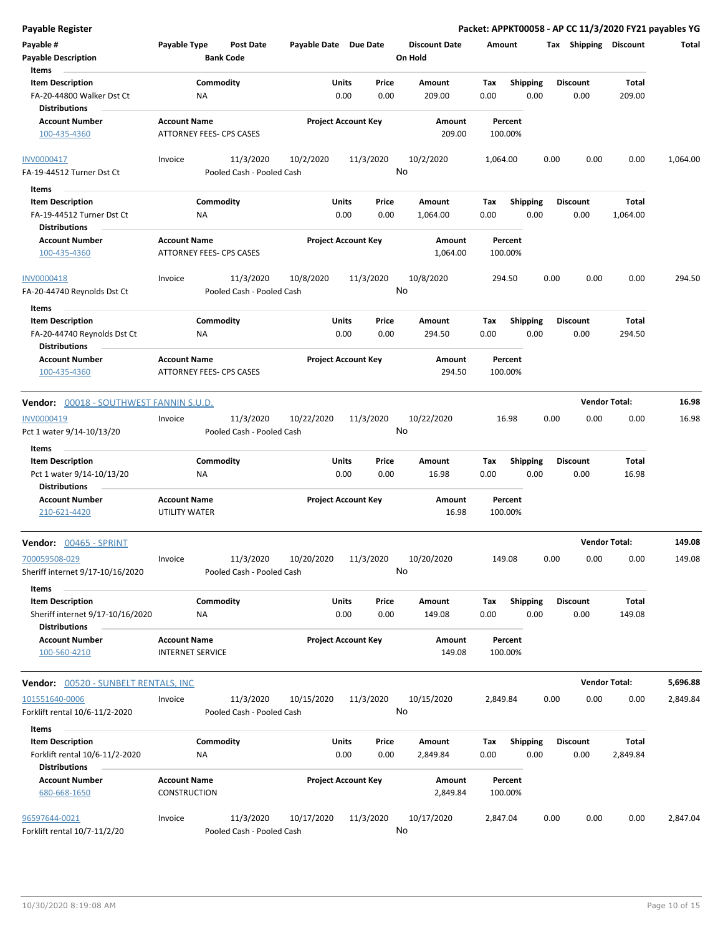| Payable #<br><b>Payable Description</b><br>Items                                             | Payable Type                                    | Post Date<br><b>Bank Code</b>          | Payable Date Due Date |                                | <b>Discount Date</b><br>On Hold | Amount             |                         | Tax             | <b>Shipping</b> | <b>Discount</b>          | Total    |
|----------------------------------------------------------------------------------------------|-------------------------------------------------|----------------------------------------|-----------------------|--------------------------------|---------------------------------|--------------------|-------------------------|-----------------|-----------------|--------------------------|----------|
| <b>Item Description</b><br>FA-20-44800 Walker Dst Ct<br><b>Distributions</b>                 | ΝA                                              | Commodity                              | Units                 | Price<br>0.00<br>0.00          | Amount<br>209.00                | Tax<br>0.00        | <b>Shipping</b><br>0.00 | <b>Discount</b> | 0.00            | Total<br>209.00          |          |
| <b>Account Number</b><br>100-435-4360                                                        | <b>Account Name</b><br>ATTORNEY FEES- CPS CASES |                                        |                       | <b>Project Account Key</b>     | Amount<br>209.00                | Percent<br>100.00% |                         |                 |                 |                          |          |
| INV0000417<br>FA-19-44512 Turner Dst Ct                                                      | Invoice                                         | 11/3/2020<br>Pooled Cash - Pooled Cash | 10/2/2020             | 11/3/2020                      | 10/2/2020<br>No                 | 1,064.00           |                         | 0.00            | 0.00            | 0.00                     | 1,064.00 |
| Items<br><b>Item Description</b><br>FA-19-44512 Turner Dst Ct<br><b>Distributions</b>        | ΝA                                              | Commodity                              |                       | Units<br>Price<br>0.00<br>0.00 | Amount<br>1,064.00              | Tax<br>0.00        | <b>Shipping</b><br>0.00 | <b>Discount</b> | 0.00            | Total<br>1,064.00        |          |
| <b>Account Number</b><br>100-435-4360                                                        | <b>Account Name</b><br>ATTORNEY FEES- CPS CASES |                                        |                       | <b>Project Account Key</b>     | Amount<br>1,064.00              | Percent<br>100.00% |                         |                 |                 |                          |          |
| INV0000418<br>FA-20-44740 Reynolds Dst Ct                                                    | Invoice                                         | 11/3/2020<br>Pooled Cash - Pooled Cash | 10/8/2020             | 11/3/2020                      | 10/8/2020<br>No                 | 294.50             |                         | 0.00            | 0.00            | 0.00                     | 294.50   |
| Items<br><b>Item Description</b><br>FA-20-44740 Reynolds Dst Ct<br><b>Distributions</b>      | ΝA                                              | Commodity                              |                       | Units<br>Price<br>0.00<br>0.00 | Amount<br>294.50                | Tax<br>0.00        | <b>Shipping</b><br>0.00 | <b>Discount</b> | 0.00            | Total<br>294.50          |          |
| <b>Account Number</b><br>100-435-4360                                                        | <b>Account Name</b><br>ATTORNEY FEES- CPS CASES |                                        |                       | <b>Project Account Key</b>     | Amount<br>294.50                | Percent<br>100.00% |                         |                 |                 |                          |          |
| <b>Vendor:</b> 00018 - SOUTHWEST FANNIN S.U.D.                                               |                                                 |                                        |                       |                                |                                 |                    |                         |                 |                 | <b>Vendor Total:</b>     | 16.98    |
| INV0000419<br>Pct 1 water 9/14-10/13/20                                                      | Invoice                                         | 11/3/2020<br>Pooled Cash - Pooled Cash | 10/22/2020            | 11/3/2020                      | 10/22/2020<br>No                | 16.98              |                         | 0.00            | 0.00            | 0.00                     | 16.98    |
| Items<br><b>Item Description</b>                                                             |                                                 | Commodity                              |                       | Units<br>Price                 | Amount                          | Тах                | <b>Shipping</b>         | <b>Discount</b> |                 | Total                    |          |
| Pct 1 water 9/14-10/13/20<br><b>Distributions</b>                                            | ΝA                                              |                                        |                       | 0.00<br>0.00                   | 16.98                           | 0.00               | 0.00                    |                 | 0.00            | 16.98                    |          |
| <b>Account Number</b><br>210-621-4420                                                        | <b>Account Name</b><br>UTILITY WATER            |                                        |                       | <b>Project Account Key</b>     | Amount<br>16.98                 | Percent<br>100.00% |                         |                 |                 |                          |          |
| <b>Vendor:</b> 00465 - SPRINT                                                                |                                                 |                                        |                       |                                |                                 |                    |                         |                 |                 | <b>Vendor Total:</b>     | 149.08   |
| 700059508-029<br>Sheriff internet 9/17-10/16/2020                                            | Invoice                                         | 11/3/2020<br>Pooled Cash - Pooled Cash | 10/20/2020            | 11/3/2020                      | 10/20/2020<br>No                | 149.08             |                         | 0.00            | 0.00            | 0.00                     | 149.08   |
| Items<br><b>Item Description</b><br>Sheriff internet 9/17-10/16/2020<br><b>Distributions</b> | ΝA                                              | Commodity                              |                       | Units<br>Price<br>0.00<br>0.00 | Amount<br>149.08                | Tax<br>0.00        | <b>Shipping</b><br>0.00 | Discount        | 0.00            | Total<br>149.08          |          |
| <b>Account Number</b><br>100-560-4210                                                        | <b>Account Name</b><br><b>INTERNET SERVICE</b>  |                                        |                       | <b>Project Account Key</b>     | Amount<br>149.08                | Percent<br>100.00% |                         |                 |                 |                          |          |
| <b>Vendor:</b> 00520 - SUNBELT RENTALS, INC                                                  |                                                 |                                        |                       |                                |                                 |                    |                         |                 |                 | <b>Vendor Total:</b>     | 5,696.88 |
| 101551640-0006<br>Forklift rental 10/6-11/2-2020                                             | Invoice                                         | 11/3/2020<br>Pooled Cash - Pooled Cash | 10/15/2020            | 11/3/2020                      | 10/15/2020<br>No                | 2,849.84           |                         | 0.00            | 0.00            | 0.00                     | 2,849.84 |
| Items<br><b>Item Description</b><br>Forklift rental 10/6-11/2-2020<br><b>Distributions</b>   | ΝA                                              | Commodity                              |                       | Units<br>Price<br>0.00<br>0.00 | Amount<br>2,849.84              | Tax<br>0.00        | <b>Shipping</b><br>0.00 | <b>Discount</b> | 0.00            | <b>Total</b><br>2,849.84 |          |
| <b>Account Number</b><br>680-668-1650                                                        | <b>Account Name</b><br>CONSTRUCTION             |                                        |                       | <b>Project Account Key</b>     | Amount<br>2,849.84              | Percent<br>100.00% |                         |                 |                 |                          |          |
| 96597644-0021<br>Forklift rental 10/7-11/2/20                                                | Invoice                                         | 11/3/2020<br>Pooled Cash - Pooled Cash | 10/17/2020            | 11/3/2020                      | 10/17/2020<br>No                | 2,847.04           |                         | 0.00            | 0.00            | 0.00                     | 2,847.04 |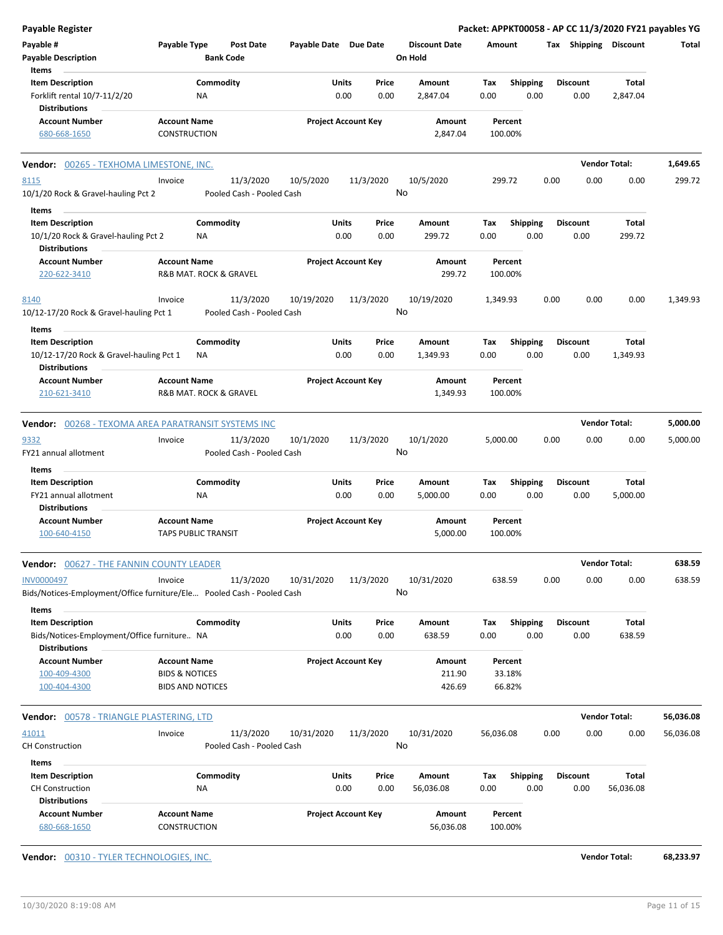| Payable Register                                                                               |                                                      |                                        |                       |                            |                                 |                    |                         |                 |      |                        | Packet: APPKT00058 - AP CC 11/3/2020 FY21 payables YG |
|------------------------------------------------------------------------------------------------|------------------------------------------------------|----------------------------------------|-----------------------|----------------------------|---------------------------------|--------------------|-------------------------|-----------------|------|------------------------|-------------------------------------------------------|
| Payable #<br><b>Payable Description</b>                                                        | Payable Type                                         | <b>Post Date</b><br><b>Bank Code</b>   | Payable Date Due Date |                            | <b>Discount Date</b><br>On Hold | Amount             |                         |                 |      | Tax Shipping Discount  | Total                                                 |
| Items<br><b>Item Description</b>                                                               |                                                      | Commodity                              | Units                 | Price                      | Amount                          | Tax                | <b>Shipping</b>         | <b>Discount</b> |      | <b>Total</b>           |                                                       |
| Forklift rental 10/7-11/2/20<br><b>Distributions</b>                                           | NA                                                   |                                        |                       | 0.00<br>0.00               | 2,847.04                        | 0.00               | 0.00                    |                 | 0.00 | 2,847.04               |                                                       |
| <b>Account Number</b>                                                                          | <b>Account Name</b>                                  |                                        |                       | <b>Project Account Key</b> | Amount                          | Percent            |                         |                 |      |                        |                                                       |
| 680-668-1650                                                                                   | CONSTRUCTION                                         |                                        |                       |                            | 2,847.04                        | 100.00%            |                         |                 |      |                        |                                                       |
| Vendor: 00265 - TEXHOMA LIMESTONE, INC.                                                        |                                                      |                                        |                       |                            |                                 |                    |                         |                 |      | <b>Vendor Total:</b>   | 1,649.65                                              |
| 8115<br>10/1/20 Rock & Gravel-hauling Pct 2                                                    | Invoice                                              | 11/3/2020<br>Pooled Cash - Pooled Cash | 10/5/2020             | 11/3/2020                  | 10/5/2020<br>No                 | 299.72             |                         | 0.00            | 0.00 | 0.00                   | 299.72                                                |
| Items                                                                                          |                                                      |                                        |                       |                            |                                 |                    |                         |                 |      |                        |                                                       |
| <b>Item Description</b><br>10/1/20 Rock & Gravel-hauling Pct 2<br><b>Distributions</b>         | ΝA                                                   | Commodity                              | Units                 | Price<br>0.00<br>0.00      | Amount<br>299.72                | Tax<br>0.00        | <b>Shipping</b><br>0.00 | <b>Discount</b> | 0.00 | <b>Total</b><br>299.72 |                                                       |
| <b>Account Number</b>                                                                          | <b>Account Name</b>                                  |                                        |                       | <b>Project Account Key</b> | Amount                          | Percent            |                         |                 |      |                        |                                                       |
| 220-622-3410                                                                                   | R&B MAT. ROCK & GRAVEL                               |                                        |                       |                            | 299.72                          | 100.00%            |                         |                 |      |                        |                                                       |
| 8140                                                                                           | Invoice                                              | 11/3/2020                              | 10/19/2020            | 11/3/2020                  | 10/19/2020                      | 1,349.93           |                         | 0.00            | 0.00 | 0.00                   | 1,349.93                                              |
| 10/12-17/20 Rock & Gravel-hauling Pct 1                                                        |                                                      | Pooled Cash - Pooled Cash              |                       |                            | No                              |                    |                         |                 |      |                        |                                                       |
| Items<br><b>Item Description</b>                                                               |                                                      | Commodity                              | Units                 | Price                      | Amount                          | Tax                | Shipping                | <b>Discount</b> |      | Total                  |                                                       |
| 10/12-17/20 Rock & Gravel-hauling Pct 1<br><b>Distributions</b>                                | ΝA                                                   |                                        |                       | 0.00<br>0.00               | 1,349.93                        | 0.00               | 0.00                    |                 | 0.00 | 1,349.93               |                                                       |
| <b>Account Number</b><br>210-621-3410                                                          | <b>Account Name</b><br>R&B MAT. ROCK & GRAVEL        |                                        |                       | <b>Project Account Key</b> | Amount<br>1,349.93              | Percent<br>100.00% |                         |                 |      |                        |                                                       |
| <b>Vendor:</b> 00268 - TEXOMA AREA PARATRANSIT SYSTEMS INC                                     |                                                      |                                        |                       |                            |                                 |                    |                         |                 |      | <b>Vendor Total:</b>   | 5,000.00                                              |
| 9332<br>FY21 annual allotment                                                                  | Invoice                                              | 11/3/2020<br>Pooled Cash - Pooled Cash | 10/1/2020             | 11/3/2020                  | 10/1/2020<br>No                 | 5,000.00           |                         | 0.00            | 0.00 | 0.00                   | 5,000.00                                              |
| Items                                                                                          |                                                      |                                        |                       |                            |                                 |                    |                         |                 |      |                        |                                                       |
| <b>Item Description</b><br>FY21 annual allotment                                               | NA                                                   | Commodity                              | Units                 | Price<br>0.00<br>0.00      | Amount<br>5,000.00              | Tax<br>0.00        | Shipping<br>0.00        | <b>Discount</b> | 0.00 | Total<br>5,000.00      |                                                       |
| <b>Distributions</b>                                                                           |                                                      |                                        |                       |                            |                                 |                    |                         |                 |      |                        |                                                       |
| <b>Account Number</b><br>100-640-4150                                                          | <b>Account Name</b><br><b>TAPS PUBLIC TRANSIT</b>    |                                        |                       | <b>Project Account Key</b> | Amount<br>5,000.00              | Percent<br>100.00% |                         |                 |      |                        |                                                       |
| <b>Vendor: 00627 - THE FANNIN COUNTY LEADER</b>                                                |                                                      |                                        |                       |                            |                                 |                    |                         |                 |      | <b>Vendor Total:</b>   | 638.59                                                |
| INV0000497<br>Bids/Notices-Employment/Office furniture/Ele Pooled Cash - Pooled Cash           | Invoice                                              | 11/3/2020                              | 10/31/2020            | 11/3/2020                  | 10/31/2020<br>No                | 638.59             |                         | 0.00            | 0.00 | 0.00                   | 638.59                                                |
| Items                                                                                          |                                                      |                                        |                       |                            |                                 |                    |                         |                 |      |                        |                                                       |
| <b>Item Description</b><br>Bids/Notices-Employment/Office furniture NA<br><b>Distributions</b> |                                                      | Commodity                              | Units                 | Price<br>0.00<br>0.00      | Amount<br>638.59                | Tax<br>0.00        | <b>Shipping</b><br>0.00 | <b>Discount</b> | 0.00 | Total<br>638.59        |                                                       |
| <b>Account Number</b>                                                                          | <b>Account Name</b>                                  |                                        |                       | <b>Project Account Key</b> | Amount                          | Percent            |                         |                 |      |                        |                                                       |
| 100-409-4300<br>100-404-4300                                                                   | <b>BIDS &amp; NOTICES</b><br><b>BIDS AND NOTICES</b> |                                        |                       |                            | 211.90<br>426.69                | 33.18%<br>66.82%   |                         |                 |      |                        |                                                       |
| <b>Vendor:</b> 00578 - TRIANGLE PLASTERING, LTD                                                |                                                      |                                        |                       |                            |                                 |                    |                         |                 |      | <b>Vendor Total:</b>   | 56,036.08                                             |
| 41011                                                                                          | Invoice                                              | 11/3/2020                              | 10/31/2020            | 11/3/2020                  | 10/31/2020                      | 56,036.08          |                         | 0.00            | 0.00 | 0.00                   | 56,036.08                                             |
| <b>CH Construction</b>                                                                         |                                                      | Pooled Cash - Pooled Cash              |                       |                            | No                              |                    |                         |                 |      |                        |                                                       |
| Items                                                                                          |                                                      |                                        |                       |                            |                                 |                    |                         |                 |      |                        |                                                       |
| <b>Item Description</b>                                                                        |                                                      | Commodity                              | Units                 | Price                      | Amount                          | Tax                | <b>Shipping</b>         | <b>Discount</b> |      | <b>Total</b>           |                                                       |
| <b>CH Construction</b>                                                                         | ΝA                                                   |                                        |                       | 0.00<br>0.00               | 56,036.08                       | 0.00               | 0.00                    |                 | 0.00 | 56,036.08              |                                                       |
| <b>Distributions</b>                                                                           |                                                      |                                        |                       |                            |                                 |                    |                         |                 |      |                        |                                                       |
| <b>Account Number</b><br>680-668-1650                                                          | <b>Account Name</b><br>CONSTRUCTION                  |                                        |                       | <b>Project Account Key</b> | Amount<br>56,036.08             | Percent<br>100.00% |                         |                 |      |                        |                                                       |
| Vendor: 00310 - TYLER TECHNOLOGIES, INC.                                                       |                                                      |                                        |                       |                            |                                 |                    |                         |                 |      | <b>Vendor Total:</b>   | 68,233.97                                             |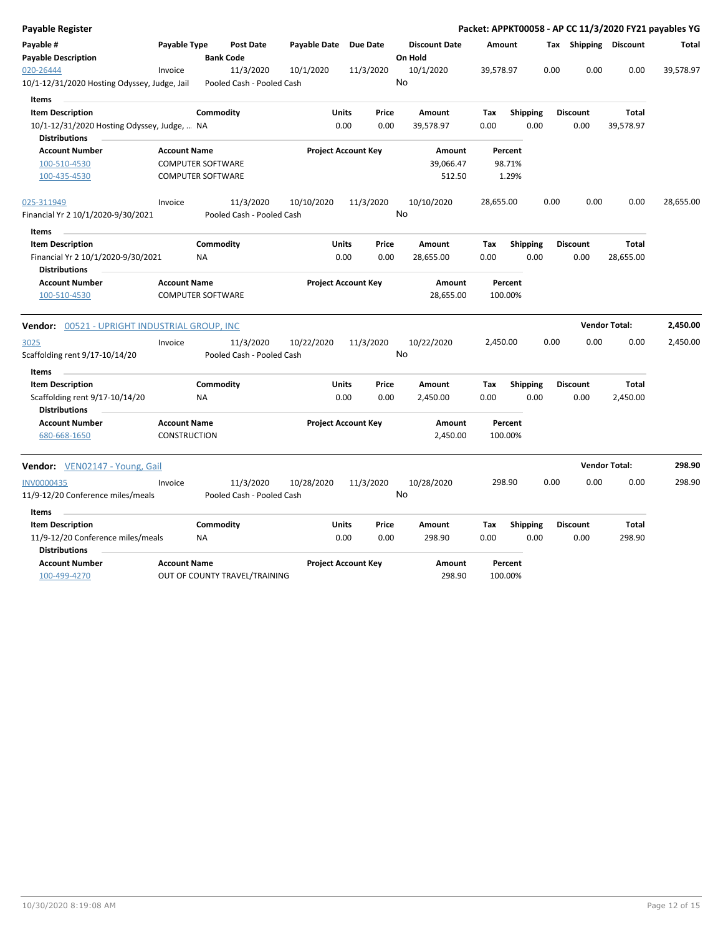| <b>Payable Register</b>                                    |                                            |                                        |                       |                            |                                 |                    |                 | Packet: APPKT00058 - AP CC 11/3/2020 FY21 payables YG |                      |              |
|------------------------------------------------------------|--------------------------------------------|----------------------------------------|-----------------------|----------------------------|---------------------------------|--------------------|-----------------|-------------------------------------------------------|----------------------|--------------|
| Payable #<br><b>Payable Description</b>                    | Payable Type                               | <b>Post Date</b><br><b>Bank Code</b>   | Payable Date Due Date |                            | <b>Discount Date</b><br>On Hold | Amount             |                 | Tax Shipping Discount                                 |                      | <b>Total</b> |
| 020-26444<br>10/1-12/31/2020 Hosting Odyssey, Judge, Jail  | Invoice                                    | 11/3/2020<br>Pooled Cash - Pooled Cash | 10/1/2020             | 11/3/2020                  | 10/1/2020<br>No                 | 39,578.97          |                 | 0.00<br>0.00                                          | 0.00                 | 39,578.97    |
| <b>Items</b>                                               |                                            |                                        |                       |                            |                                 |                    |                 |                                                       |                      |              |
| <b>Item Description</b>                                    |                                            | Commodity                              | Units                 | Price                      | Amount                          | Tax                | <b>Shipping</b> | <b>Discount</b>                                       | Total                |              |
| 10/1-12/31/2020 Hosting Odyssey, Judge,  NA                |                                            |                                        | 0.00                  | 0.00                       | 39,578.97                       | 0.00               | 0.00            | 0.00                                                  | 39,578.97            |              |
| <b>Distributions</b><br><b>Account Number</b>              | <b>Account Name</b>                        |                                        |                       | <b>Project Account Key</b> | Amount                          | Percent            |                 |                                                       |                      |              |
| 100-510-4530                                               |                                            | <b>COMPUTER SOFTWARE</b>               |                       |                            | 39,066.47                       | 98.71%             |                 |                                                       |                      |              |
| 100-435-4530                                               |                                            | <b>COMPUTER SOFTWARE</b>               |                       |                            | 512.50                          |                    | 1.29%           |                                                       |                      |              |
| 025-311949                                                 | Invoice                                    | 11/3/2020                              | 10/10/2020            | 11/3/2020                  | 10/10/2020                      | 28,655.00          |                 | 0.00<br>0.00                                          | 0.00                 | 28,655.00    |
| Financial Yr 2 10/1/2020-9/30/2021                         |                                            | Pooled Cash - Pooled Cash              |                       |                            | No                              |                    |                 |                                                       |                      |              |
| Items                                                      |                                            |                                        |                       |                            |                                 |                    |                 |                                                       |                      |              |
| <b>Item Description</b>                                    |                                            | Commodity                              | Units                 | Price                      | Amount                          | Tax                | <b>Shipping</b> | <b>Discount</b>                                       | <b>Total</b>         |              |
| Financial Yr 2 10/1/2020-9/30/2021<br><b>Distributions</b> |                                            | <b>NA</b>                              | 0.00                  | 0.00                       | 28,655.00                       | 0.00               | 0.00            | 0.00                                                  | 28,655.00            |              |
| <b>Account Number</b>                                      | <b>Account Name</b>                        |                                        |                       | <b>Project Account Key</b> | Amount                          | Percent            |                 |                                                       |                      |              |
| 100-510-4530                                               |                                            | <b>COMPUTER SOFTWARE</b>               |                       |                            | 28,655.00                       | 100.00%            |                 |                                                       |                      |              |
| Vendor: 00521 - UPRIGHT INDUSTRIAL GROUP, INC              |                                            |                                        |                       |                            |                                 |                    |                 |                                                       | <b>Vendor Total:</b> | 2,450.00     |
| 3025                                                       | Invoice                                    | 11/3/2020                              | 10/22/2020            | 11/3/2020                  | 10/22/2020                      | 2,450.00           |                 | 0.00<br>0.00                                          | 0.00                 | 2,450.00     |
| Scaffolding rent 9/17-10/14/20                             |                                            | Pooled Cash - Pooled Cash              |                       |                            | No                              |                    |                 |                                                       |                      |              |
| Items                                                      |                                            |                                        |                       |                            |                                 |                    |                 |                                                       |                      |              |
| <b>Item Description</b>                                    |                                            | Commodity                              | Units                 | Price                      | Amount                          | Tax                | <b>Shipping</b> | <b>Discount</b>                                       | <b>Total</b>         |              |
| Scaffolding rent 9/17-10/14/20<br><b>Distributions</b>     |                                            | <b>NA</b>                              | 0.00                  | 0.00                       | 2,450.00                        | 0.00               | 0.00            | 0.00                                                  | 2,450.00             |              |
| <b>Account Number</b><br>680-668-1650                      | <b>Account Name</b><br><b>CONSTRUCTION</b> |                                        |                       | <b>Project Account Key</b> | Amount<br>2,450.00              | Percent<br>100.00% |                 |                                                       |                      |              |
| Vendor: VEN02147 - Young, Gail                             |                                            |                                        |                       |                            |                                 |                    |                 |                                                       | <b>Vendor Total:</b> | 298.90       |
| <b>INV0000435</b>                                          | Invoice                                    | 11/3/2020                              | 10/28/2020            | 11/3/2020                  | 10/28/2020                      | 298.90             |                 | 0.00<br>0.00                                          | 0.00                 | 298.90       |
| 11/9-12/20 Conference miles/meals                          |                                            | Pooled Cash - Pooled Cash              |                       |                            | No                              |                    |                 |                                                       |                      |              |
| Items                                                      |                                            |                                        |                       |                            |                                 |                    |                 |                                                       |                      |              |
| <b>Item Description</b>                                    |                                            | Commodity                              | Units                 | Price                      | Amount                          | Tax                | <b>Shipping</b> | <b>Discount</b>                                       | Total                |              |
| 11/9-12/20 Conference miles/meals<br><b>Distributions</b>  |                                            | <b>NA</b>                              | 0.00                  | 0.00                       | 298.90                          | 0.00               | 0.00            | 0.00                                                  | 298.90               |              |
| <b>Account Number</b>                                      | <b>Account Name</b>                        |                                        |                       | <b>Project Account Key</b> | Amount                          | Percent            |                 |                                                       |                      |              |
| 100-499-4270                                               |                                            | OUT OF COUNTY TRAVEL/TRAINING          |                       |                            | 298.90                          | 100.00%            |                 |                                                       |                      |              |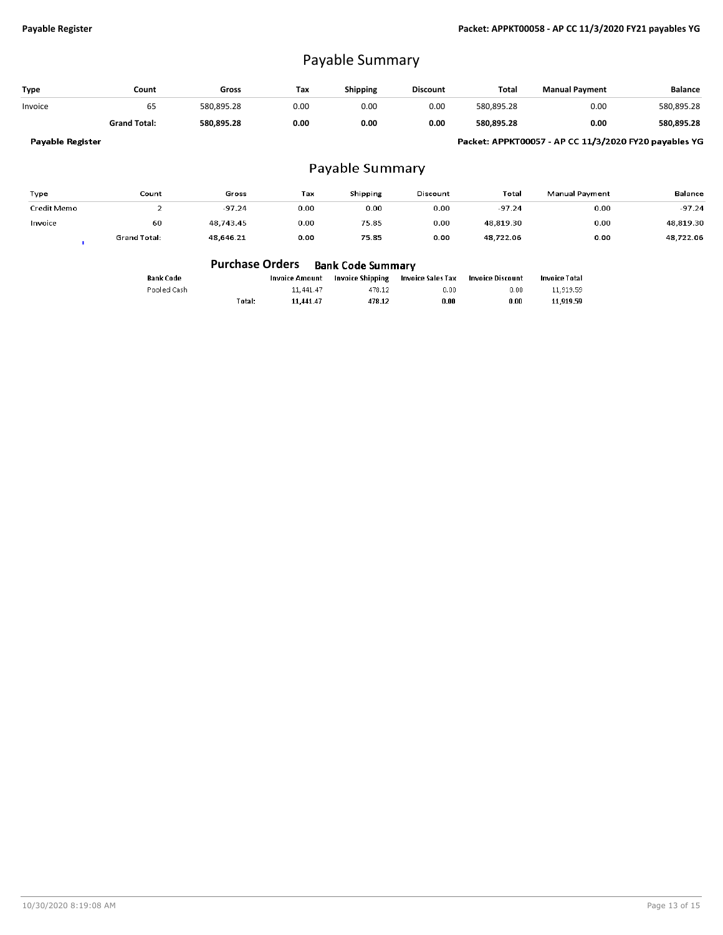## Payable Summary

| Type    | Count               | Gross      | Tax  | <b>Shipping</b> | <b>Discount</b> | Total      | <b>Manual Pavment</b> | <b>Balance</b> |
|---------|---------------------|------------|------|-----------------|-----------------|------------|-----------------------|----------------|
| Invoice | ხ5                  | 580.895.28 | 0.00 | 0.00            | 0.00            | 580,895.28 | 0.00                  | 580,895.28     |
|         | <b>Grand Total:</b> | 580.895.28 | 0.00 | 0.00            | 0.00            | 580.895.28 | 0.00                  | 580,895.28     |
|         |                     |            |      |                 |                 |            | __                    |                |

Payable Register

Packet: APPKT00057 - AP CC 11/3/2020 FY20 payables YG

#### Payable Summary

| Type        | Count               | Gross     | Tax  | Shipping  | Discount  | Total     | Manual Payment | <b>Balance</b> |
|-------------|---------------------|-----------|------|-----------|-----------|-----------|----------------|----------------|
| Credit Memo |                     | $-97.24$  | 0.00 | $_{0.00}$ | $_{0.00}$ | $-97.24$  | 0.00           | $-97.24$       |
| Invoice     | 60                  | 48.743.45 | 0.00 | 75.85     | 0.00      | 48.819.30 | 0.00           | 48.819.30      |
|             | <b>Grand Total:</b> | 48,646.21 | 0.00 | 75.85     | 0.00      | 48,722.06 | 0.00           | 48,722.06      |

|             | <b>Purchase Orders</b> |                | Bank Code Summary |                   |                  |                      |
|-------------|------------------------|----------------|-------------------|-------------------|------------------|----------------------|
| Bank Code   |                        | Invoice Amount | Invoice Shipping  | Invoice Sales Tax | Invoice Discount | <b>Invoice Total</b> |
| Pooled Cash |                        | 11.441.47      | 478.12            | 0.00              | 0.00             | 11,919,59            |
|             | Total:                 | 11.441.47      | 478.12            | 0.00              | 0.00             | 11.919.59            |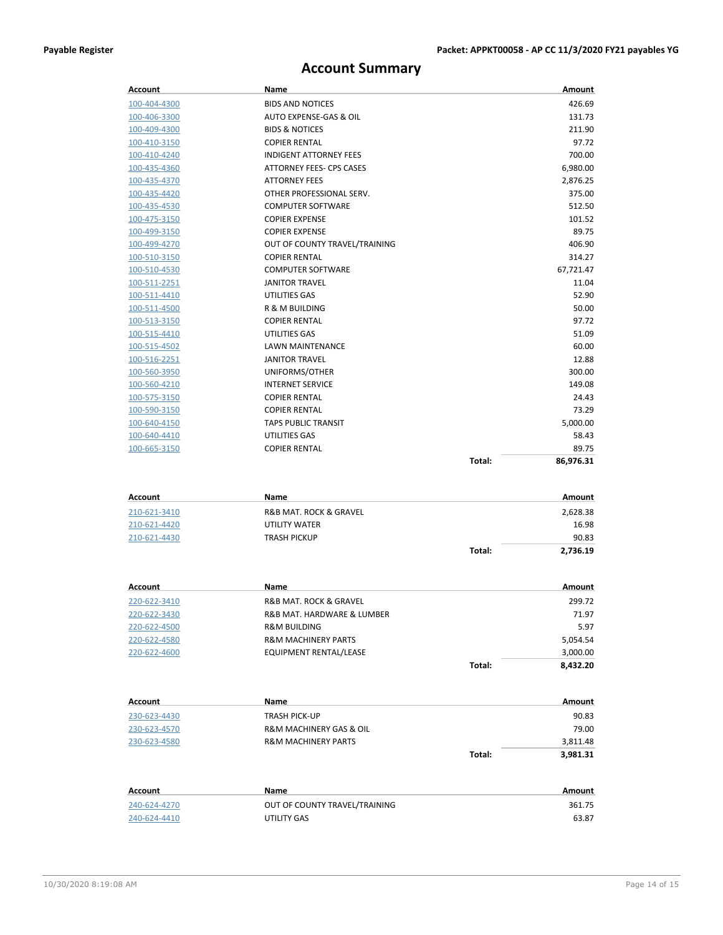### **Account Summary**

| Account                      | Name                                         |        | Amount          |
|------------------------------|----------------------------------------------|--------|-----------------|
| 100-404-4300                 | <b>BIDS AND NOTICES</b>                      |        | 426.69          |
| 100-406-3300                 | AUTO EXPENSE-GAS & OIL                       |        | 131.73          |
| 100-409-4300                 | <b>BIDS &amp; NOTICES</b>                    |        | 211.90          |
| 100-410-3150                 | <b>COPIER RENTAL</b>                         |        | 97.72           |
| 100-410-4240                 | <b>INDIGENT ATTORNEY FEES</b>                |        | 700.00          |
| 100-435-4360                 | ATTORNEY FEES- CPS CASES                     |        | 6,980.00        |
| 100-435-4370                 | <b>ATTORNEY FEES</b>                         |        | 2,876.25        |
| 100-435-4420                 | OTHER PROFESSIONAL SERV.                     |        | 375.00          |
| 100-435-4530                 | <b>COMPUTER SOFTWARE</b>                     |        | 512.50          |
| 100-475-3150                 | <b>COPIER EXPENSE</b>                        |        | 101.52          |
| 100-499-3150                 | <b>COPIER EXPENSE</b>                        |        | 89.75           |
| 100-499-4270                 | OUT OF COUNTY TRAVEL/TRAINING                |        | 406.90          |
| 100-510-3150                 | <b>COPIER RENTAL</b>                         |        | 314.27          |
| 100-510-4530                 | <b>COMPUTER SOFTWARE</b>                     |        | 67,721.47       |
| <u>100-511-2251</u>          | <b>JANITOR TRAVEL</b>                        |        | 11.04           |
| 100-511-4410                 | UTILITIES GAS                                |        | 52.90           |
| 100-511-4500                 | R & M BUILDING                               |        | 50.00           |
| 100-513-3150                 | <b>COPIER RENTAL</b>                         |        | 97.72           |
| 100-515-4410                 | UTILITIES GAS                                |        | 51.09           |
| 100-515-4502                 | LAWN MAINTENANCE                             |        | 60.00           |
| 100-516-2251                 | <b>JANITOR TRAVEL</b>                        |        | 12.88           |
| 100-560-3950                 | UNIFORMS/OTHER                               |        | 300.00          |
| 100-560-4210                 | <b>INTERNET SERVICE</b>                      |        | 149.08          |
| 100-575-3150                 | <b>COPIER RENTAL</b>                         |        | 24.43           |
| 100-590-3150                 | <b>COPIER RENTAL</b>                         |        | 73.29           |
| 100-640-4150                 | <b>TAPS PUBLIC TRANSIT</b>                   |        | 5,000.00        |
| 100-640-4410                 | UTILITIES GAS                                |        | 58.43           |
| 100-665-3150                 | <b>COPIER RENTAL</b>                         | Total: | 89.75           |
|                              |                                              |        | 86,976.31       |
|                              |                                              |        |                 |
| <b>Account</b>               | Name                                         |        | Amount          |
| 210-621-3410                 | R&B MAT. ROCK & GRAVEL                       |        | 2,628.38        |
| 210-621-4420                 | UTILITY WATER                                |        | 16.98           |
| 210-621-4430                 | <b>TRASH PICKUP</b>                          |        | 90.83           |
|                              |                                              | Total: | 2,736.19        |
|                              |                                              |        |                 |
| Account                      | Name                                         |        | Amount          |
| 220-622-3410                 | R&B MAT. ROCK & GRAVEL                       |        |                 |
| 220-622-3430                 |                                              |        | 299.72          |
|                              | R&B MAT. HARDWARE & LUMBER                   |        | 71.97           |
| 220-622-4500                 | R&M BUILDING                                 |        | 5.97            |
| 220-622-4580                 | <b>R&amp;M MACHINERY PARTS</b>               |        | 5,054.54        |
| 220-622-4600                 | EQUIPMENT RENTAL/LEASE                       |        | 3,000.00        |
|                              |                                              | Total: | 8,432.20        |
|                              |                                              |        |                 |
| Account                      | Name                                         |        | Amount          |
| 230-623-4430                 | <b>TRASH PICK-UP</b>                         |        | 90.83           |
| 230-623-4570                 | R&M MACHINERY GAS & OIL                      |        | 79.00           |
| 230-623-4580                 | <b>R&amp;M MACHINERY PARTS</b>               |        | 3,811.48        |
|                              |                                              | Total: | 3,981.31        |
|                              |                                              |        |                 |
| <b>Account</b>               | Name                                         |        | Amount          |
| 240-624-4270<br>240-624-4410 | OUT OF COUNTY TRAVEL/TRAINING<br>UTILITY GAS |        | 361.75<br>63.87 |